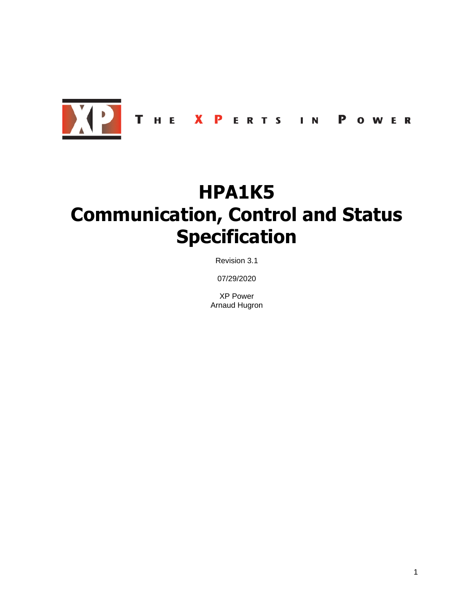

# **HPA1K5 Communication, Control and Status Specification**

Revision 3.1

07/29/2020

XP Power Arnaud Hugron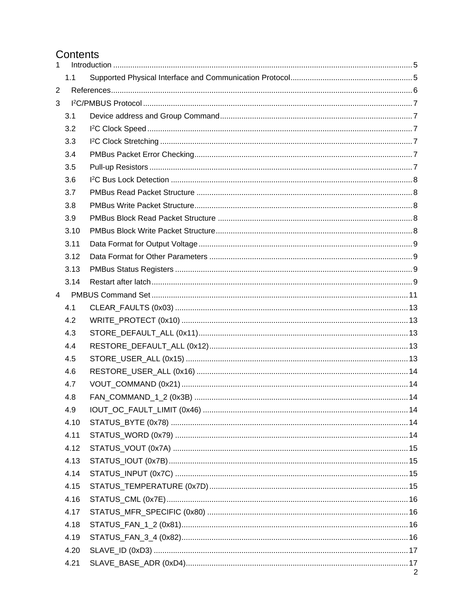# Contents

| $\mathbf{1}$   |      |   |
|----------------|------|---|
|                | 1.1  |   |
| $\overline{2}$ |      |   |
| 3              |      |   |
|                | 3.1  |   |
|                | 3.2  |   |
|                | 3.3  |   |
|                | 3.4  |   |
|                | 3.5  |   |
|                | 3.6  |   |
|                | 3.7  |   |
|                | 3.8  |   |
|                | 3.9  |   |
|                | 3.10 |   |
|                | 3.11 |   |
|                | 3.12 |   |
|                | 3.13 |   |
|                | 3.14 |   |
| $\overline{4}$ |      |   |
|                | 4.1  |   |
|                | 4.2  |   |
|                | 4.3  |   |
|                | 4.4  |   |
|                | 4.5  |   |
|                | 4.6  |   |
|                | 4.7  |   |
|                | 4.8  |   |
|                | 4.9  |   |
|                | 4.10 |   |
|                | 4.11 |   |
|                | 4.12 |   |
|                | 4.13 |   |
|                | 4.14 |   |
|                | 4.15 |   |
|                | 4.16 |   |
|                | 4.17 |   |
|                | 4.18 |   |
|                | 4.19 |   |
|                | 4.20 |   |
|                | 4.21 |   |
|                |      | 2 |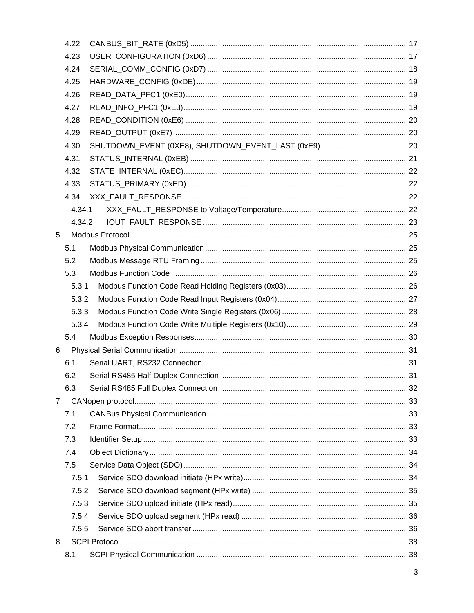|                | 4.22   |  |
|----------------|--------|--|
|                | 4.23   |  |
|                | 4.24   |  |
|                | 4.25   |  |
|                | 4.26   |  |
|                | 4.27   |  |
|                | 4.28   |  |
|                | 4.29   |  |
|                | 4.30   |  |
|                | 4.31   |  |
|                | 4.32   |  |
|                | 4.33   |  |
|                | 4.34   |  |
|                | 4.34.1 |  |
|                | 4.34.2 |  |
| 5              |        |  |
|                | 5.1    |  |
|                | 5.2    |  |
|                | 5.3    |  |
|                | 5.3.1  |  |
|                | 5.3.2  |  |
|                | 5.3.3  |  |
|                | 5.3.4  |  |
|                | 5.4    |  |
| 6              |        |  |
|                | 6.1    |  |
|                | 6.2    |  |
|                | 6.3    |  |
| $\overline{7}$ |        |  |
|                | 7.1    |  |
|                | 7.2    |  |
|                | 7.3    |  |
|                | 7.4    |  |
|                | 7.5    |  |
|                | 7.5.1  |  |
|                | 7.5.2  |  |
|                | 7.5.3  |  |
|                | 7.5.4  |  |
|                | 7.5.5  |  |
| 8              |        |  |
|                | 8.1    |  |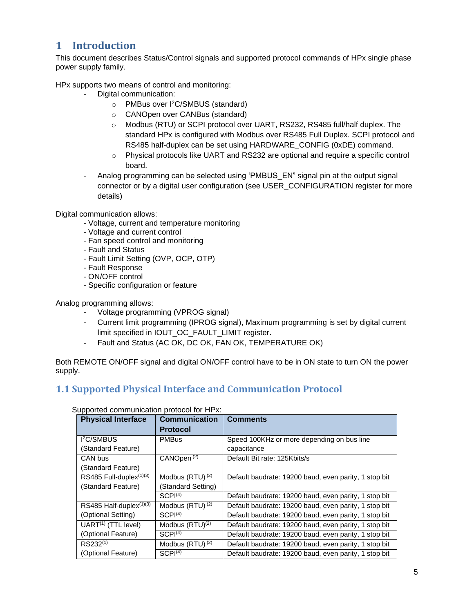# <span id="page-4-0"></span>**1 Introduction**

This document describes Status/Control signals and supported protocol commands of HPx single phase power supply family.

HPx supports two means of control and monitoring:

- Digital communication:
	- o PMBus over I <sup>2</sup>C/SMBUS (standard)
	- o CANOpen over CANBus (standard)
	- o Modbus (RTU) or SCPI protocol over UART, RS232, RS485 full/half duplex. The standard HPx is configured with Modbus over RS485 Full Duplex. SCPI protocol and RS485 half-duplex can be set using HARDWARE\_CONFIG (0xDE) command.
	- $\circ$  Physical protocols like UART and RS232 are optional and require a specific control board.
- Analog programming can be selected using 'PMBUS\_EN" signal pin at the output signal connector or by a digital user configuration (see USER\_CONFIGURATION register for more details)

Digital communication allows:

- Voltage, current and temperature monitoring
- Voltage and current control
- Fan speed control and monitoring
- Fault and Status
- Fault Limit Setting (OVP, OCP, OTP)
- Fault Response
- ON/OFF control
- Specific configuration or feature

Analog programming allows:

- Voltage programming (VPROG signal)
- Current limit programming (IPROG signal), Maximum programming is set by digital current limit specified in IOUT\_OC\_FAULT\_LIMIT register.
- Fault and Status (AC OK, DC OK, FAN OK, TEMPERATURE OK)

Both REMOTE ON/OFF signal and digital ON/OFF control have to be in ON state to turn ON the power supply.

# <span id="page-4-1"></span>**1.1 Supported Physical Interface and Communication Protocol**

| <b>PPORTOG OOMMIGHTOGHOM PROTOGHOM</b> THE AT<br><b>Physical Interface</b> | <b>Communication</b>   | <b>Comments</b>                                       |
|----------------------------------------------------------------------------|------------------------|-------------------------------------------------------|
|                                                                            | <b>Protocol</b>        |                                                       |
| <b>I<sup>2</sup>C/SMBUS</b>                                                | <b>PMBus</b>           | Speed 100KHz or more depending on bus line            |
| (Standard Feature)                                                         |                        | capacitance                                           |
| CAN bus                                                                    | CANOpen <sup>(2)</sup> | Default Bit rate: 125Kbits/s                          |
| (Standard Feature)                                                         |                        |                                                       |
| RS485 Full-duplex(1)(3)                                                    | Modbus $(RTU)^{(2)}$   | Default baudrate: 19200 baud, even parity, 1 stop bit |
| (Standard Feature)                                                         | (Standard Setting)     |                                                       |
|                                                                            | SCPI <sup>(4)</sup>    | Default baudrate: 19200 baud, even parity, 1 stop bit |
| RS485 Half-duplex <sup>(1)(3)</sup>                                        | Modbus $(RTU)^{(2)}$   | Default baudrate: 19200 baud, even parity, 1 stop bit |
| (Optional Setting)                                                         | SCPI <sup>(4)</sup>    | Default baudrate: 19200 baud, even parity, 1 stop bit |
| $\overline{UART}^{(1)}$ (TTL level)                                        | Modbus $(RTU)^{(2)}$   | Default baudrate: 19200 baud, even parity, 1 stop bit |
| (Optional Feature)                                                         | SCPI <sup>(4)</sup>    | Default baudrate: 19200 baud, even parity, 1 stop bit |
| RS232(1)                                                                   | Modbus $(RTU)^{(2)}$   | Default baudrate: 19200 baud, even parity, 1 stop bit |
| (Optional Feature)                                                         | SCPI <sup>(4)</sup>    | Default baudrate: 19200 baud, even parity, 1 stop bit |

### Supported communication protocol for HPx: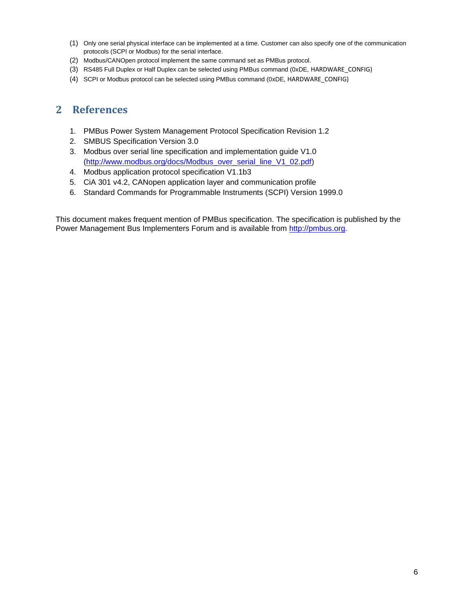- (1) Only one serial physical interface can be implemented at a time. Customer can also specify one of the communication protocols (SCPI or Modbus) for the serial interface.
- (2) Modbus/CANOpen protocol implement the same command set as PMBus protocol.
- (3) RS485 Full Duplex or Half Duplex can be selected using PMBus command (0xDE, HARDWARE\_CONFIG)
- <span id="page-5-0"></span>(4) SCPI or Modbus protocol can be selected using PMBus command (0xDE, HARDWARE\_CONFIG)

# **2 References**

- 1. PMBus Power System Management Protocol Specification Revision 1.2
- 2. SMBUS Specification Version 3.0
- 3. Modbus over serial line specification and implementation guide V1.0 [\(http://www.modbus.org/docs/Modbus\\_over\\_serial\\_line\\_V1\\_02.pdf\)](http://www.modbus.org/docs/Modbus_over_serial_line_V1_02.pdf)
- 4. Modbus application protocol specification V1.1b3
- 5. CiA 301 v4.2, CANopen application layer and communication profile
- 6. Standard Commands for Programmable Instruments (SCPI) Version 1999.0

This document makes frequent mention of PMBus specification. The specification is published by the Power Management Bus Implementers Forum and is available from [http://pmbus.org.](http://pmbus.org/)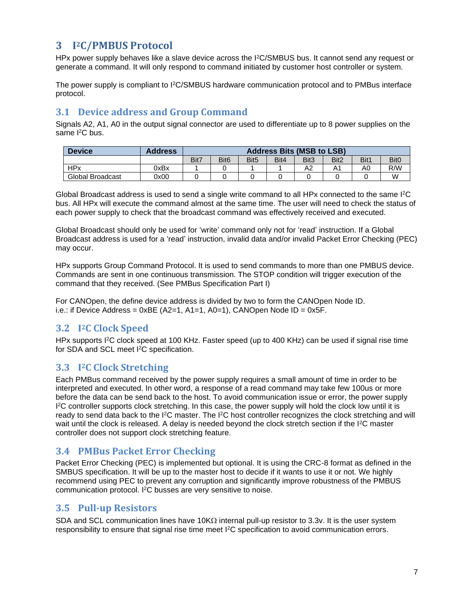# <span id="page-6-0"></span>**3 I <sup>2</sup>C/PMBUS Protocol**

HPx power supply behaves like a slave device across the I<sup>2</sup>C/SMBUS bus. It cannot send any request or generate a command. It will only respond to command initiated by customer host controller or system.

The power supply is compliant to I<sup>2</sup>C/SMBUS hardware communication protocol and to PMBus interface protocol.

# <span id="page-6-1"></span>**3.1 Device address and Group Command**

Signals A2, A1, A0 in the output signal connector are used to differentiate up to 8 power supplies on the same <sup>2</sup>C bus.

| <b>Device</b>    | <b>Address</b> |      |                  |                  |      | <b>Address Bits (MSB to LSB)</b> |                  |      |                  |
|------------------|----------------|------|------------------|------------------|------|----------------------------------|------------------|------|------------------|
|                  |                | Bit7 | Bit <sub>6</sub> | Bit <sub>5</sub> | Bit4 | Bit3                             | Bit <sub>2</sub> | Bit1 | Bit <sub>0</sub> |
| <b>HPx</b>       | 0xBx           |      |                  |                  |      | A2                               |                  | A0   | R/W              |
| Global Broadcast | 0x00           |      |                  |                  |      |                                  |                  |      | W                |

Global Broadcast address is used to send a single write command to all HPx connected to the same I<sup>2</sup>C bus. All HPx will execute the command almost at the same time. The user will need to check the status of each power supply to check that the broadcast command was effectively received and executed.

Global Broadcast should only be used for 'write' command only not for 'read' instruction. If a Global Broadcast address is used for a 'read' instruction, invalid data and/or invalid Packet Error Checking (PEC) may occur.

HPx supports Group Command Protocol. It is used to send commands to more than one PMBUS device. Commands are sent in one continuous transmission. The STOP condition will trigger execution of the command that they received. (See PMBus Specification Part I)

For CANOpen, the define device address is divided by two to form the CANOpen Node ID. i.e.: if Device Address =  $0xBE$  (A2=1, A1=1, A0=1), CANOpen Node ID =  $0x5F$ .

# <span id="page-6-2"></span>**3.2 I <sup>2</sup>C Clock Speed**

HPx supports I<sup>2</sup>C clock speed at 100 KHz. Faster speed (up to 400 KHz) can be used if signal rise time for SDA and SCL meet I<sup>2</sup>C specification.

# <span id="page-6-3"></span>**3.3 I <sup>2</sup>C Clock Stretching**

Each PMBus command received by the power supply requires a small amount of time in order to be interpreted and executed. In other word, a response of a read command may take few 100us or more before the data can be send back to the host. To avoid communication issue or error, the power supply I <sup>2</sup>C controller supports clock stretching. In this case, the power supply will hold the clock low until it is ready to send data back to the I<sup>2</sup>C master. The I<sup>2</sup>C host controller recognizes the clock stretching and will wait until the clock is released. A delay is needed beyond the clock stretch section if the I<sup>2</sup>C master controller does not support clock stretching feature.

# <span id="page-6-4"></span>**3.4 PMBus Packet Error Checking**

Packet Error Checking (PEC) is implemented but optional. It is using the CRC-8 format as defined in the SMBUS specification. It will be up to the master host to decide if it wants to use it or not. We highly recommend using PEC to prevent any corruption and significantly improve robustness of the PMBUS communication protocol. I <sup>2</sup>C busses are very sensitive to noise.

# <span id="page-6-5"></span>**3.5 Pull-up Resistors**

SDA and SCL communication lines have 10K $\Omega$  internal pull-up resistor to 3.3v. It is the user system responsibility to ensure that signal rise time meet I<sup>2</sup>C specification to avoid communication errors.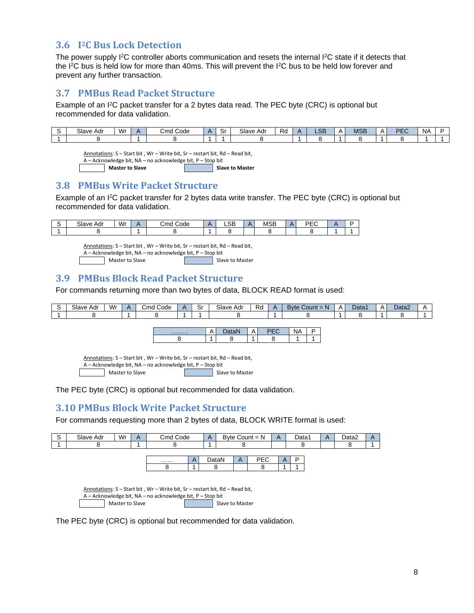# <span id="page-7-0"></span>**3.6 I <sup>2</sup>C Bus Lock Detection**

The power supply I<sup>2</sup>C controller aborts communication and resets the internal I<sup>2</sup>C state if it detects that the I<sup>2</sup>C bus is held low for more than 40ms. This will prevent the I<sup>2</sup>C bus to be held low forever and prevent any further transaction.

# <span id="page-7-1"></span>**3.7 PMBus Read Packet Structure**

Example of an I<sup>2</sup>C packet transfer for a 2 bytes data read. The PEC byte (CRC) is optional but recommended for data validation.

| Slave<br>Adr | $W_1$<br>v v 1 | $\sim$<br>Code<br>Cmd | ັ | Slave Adr | o,<br>nu. | CD<br>⊸⊃⊃ | $\mathbf{v}$ | 10D<br>םטוע | DEC<br>-- | <b>NA</b> |  |
|--------------|----------------|-----------------------|---|-----------|-----------|-----------|--------------|-------------|-----------|-----------|--|
|              |                |                       |   |           |           |           |              |             |           |           |  |

Annotations: S – Start bit , Wr – Write bit, Sr – restart bit, Rd – Read bit, A – Acknowledge bit, NA – no acknowledge bit, P – Stop bit

**Master to Slave Slave Transform <b>Slave I** Slave to Master

# <span id="page-7-2"></span>**3.8 PMBus Write Packet Structure**

Example of an I<sup>2</sup>C packet transfer for 2 bytes data write transfer. The PEC byte (CRC) is optional but recommended for data validation.

| Slave,<br>Adr | Wr | $\overline{\phantom{0}}$<br>انٽ<br>Code | Δ<br>. . | $\sim$<br>∟ບບ | <b>MSB</b> | <b>DEC</b><br>-- |  |
|---------------|----|-----------------------------------------|----------|---------------|------------|------------------|--|
|               |    |                                         |          |               |            |                  |  |

Annotations: S – Start bit , Wr – Write bit, Sr – restart bit, Rd – Read bit,  $A - Acknowledge bit, NA - no acknowledge bit, P - Stop bit$ <br>Master to Slave Slave to Master

### <span id="page-7-3"></span>**3.9 PMBus Block Read Packet Structure**

For commands returning more than two bytes of data, BLOCK READ format is used:

| Slave<br>Adr | Wr | -<br>.Cmc<br>Code | . e.<br>יب | Slave<br>Adr | Ro | ⊃ounτ<br>w<br>$-$<br>3 V H | $\overline{\phantom{a}}$ | Data <sup>2</sup> | ▵ | Data2 |  |
|--------------|----|-------------------|------------|--------------|----|----------------------------|--------------------------|-------------------|---|-------|--|
|              |    |                   |            |              |    |                            |                          |                   |   |       |  |

| . |  |  |  |
|---|--|--|--|
|   |  |  |  |

Annotations: S – Start bit , Wr – Write bit, Sr – restart bit, Rd – Read bit, A – Acknowledge bit, NA – no acknowledge bit, P – Stop bit

Master to Slave Superstanding the Slave to Master

<span id="page-7-4"></span>The PEC byte (CRC) is optional but recommended for data validation.

# **3.10 PMBus Block Write Packet Structure**

For commands requesting more than 2 bytes of data, BLOCK WRITE format is used:

| S | Slave Adr | Wr              | $\mathsf{A}$ | Cmd Code                                                                     | $\mathsf{A}$ |                 |   | Byte Count $= N$ | $\mathsf{A}$ | Data1 | $\mathsf{A}$ | Data2 | $\mathsf{A}$ |
|---|-----------|-----------------|--------------|------------------------------------------------------------------------------|--------------|-----------------|---|------------------|--------------|-------|--------------|-------|--------------|
|   | 8         |                 |              |                                                                              |              |                 |   |                  |              |       |              |       |              |
|   |           |                 |              |                                                                              |              |                 |   |                  |              |       |              |       |              |
|   |           |                 |              | .                                                                            |              | DataN           | A | <b>PEC</b>       | $\mathsf{A}$ | P     |              |       |              |
|   |           |                 |              |                                                                              |              |                 |   |                  |              |       |              |       |              |
|   |           |                 |              |                                                                              |              |                 |   |                  |              |       |              |       |              |
|   |           |                 |              |                                                                              |              |                 |   |                  |              |       |              |       |              |
|   |           |                 |              | Annotations: S - Start bit, Wr - Write bit, Sr - restart bit, Rd - Read bit, |              |                 |   |                  |              |       |              |       |              |
|   |           |                 |              | A – Acknowledge bit, NA – no acknowledge bit, P – Stop bit                   |              |                 |   |                  |              |       |              |       |              |
|   |           | Master to Slave |              |                                                                              |              | Slave to Master |   |                  |              |       |              |       |              |

The PEC byte (CRC) is optional but recommended for data validation.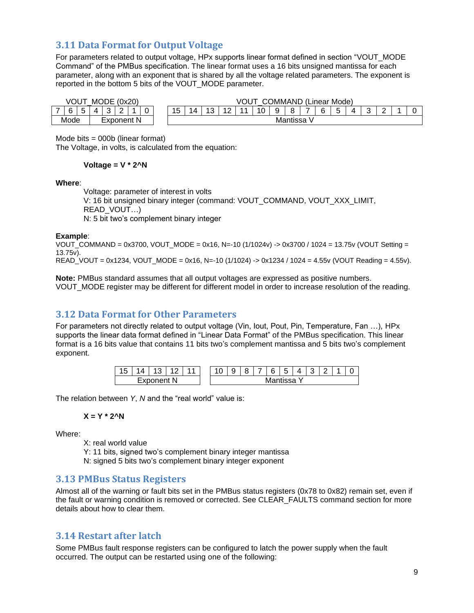# <span id="page-8-0"></span>**3.11 Data Format for Output Voltage**

For parameters related to output voltage, HPx supports linear format defined in section "VOUT\_MODE Command" of the PMBus specification. The linear format uses a 16 bits unsigned mantissa for each parameter, along with an exponent that is shared by all the voltage related parameters. The exponent is reported in the bottom 5 bits of the VOUT\_MODE parameter.

| VOU  |   | <b>MODE</b> | (0x20) |            |  |            |                                                                                                           |  |  | VOU |  |  | <b>JMMAND</b> |  | .∟inear ′ | : Mode) |  |  |  |  |  |
|------|---|-------------|--------|------------|--|------------|-----------------------------------------------------------------------------------------------------------|--|--|-----|--|--|---------------|--|-----------|---------|--|--|--|--|--|
| а    | 4 | ີ           | ∽<br>- |            |  | 1 F<br>ں ، | $\sqrt{2}$<br>$\overline{a}$<br>ี<br>o<br>14<br>4<br>∽<br>J<br>ັບ<br>ີ<br>$\overline{\phantom{a}}$<br>. . |  |  |     |  |  |               |  |           |         |  |  |  |  |  |
| Mode |   |             |        | Exponent N |  | Mantissa   |                                                                                                           |  |  |     |  |  |               |  |           |         |  |  |  |  |  |

Mode bits = 000b (linear format)

The Voltage, in volts, is calculated from the equation:

**Voltage = V \* 2^N**

#### **Where**:

Voltage: parameter of interest in volts V: 16 bit unsigned binary integer (command: VOUT\_COMMAND, VOUT\_XXX\_LIMIT, READ\_VOUT…) N: 5 bit two's complement binary integer

#### **Example**:

VOUT\_COMMAND = 0x3700, VOUT\_MODE = 0x16, N=-10 (1/1024v) -> 0x3700 / 1024 = 13.75v (VOUT Setting = 13.75v). READ VOUT = 0x1234, VOUT\_MODE = 0x16, N=-10 (1/1024) -> 0x1234 / 1024 = 4.55v (VOUT Reading = 4.55v).

**Note:** PMBus standard assumes that all output voltages are expressed as positive numbers. VOUT\_MODE register may be different for different model in order to increase resolution of the reading.

# <span id="page-8-1"></span>**3.12 Data Format for Other Parameters**

For parameters not directly related to output voltage (Vin, lout, Pout, Pin, Temperature, Fan ...), HPx supports the linear data format defined in "Linear Data Format" of the PMBus specification. This linear format is a 16 bits value that contains 11 bits two's complement mantissa and 5 bits two's complement exponent.

| $\overline{A}$ $\overline{B}$<br>ں ו | $\prime$ |     |   |  | ັ | ◡<br>ັ | - | ⌒<br>b | -<br>∽<br>ີ |                        |  |  |
|--------------------------------------|----------|-----|---|--|---|--------|---|--------|-------------|------------------------|--|--|
|                                      | n.<br>∽  | $-$ | N |  |   |        |   |        |             | <sup>2</sup> - finna V |  |  |

The relation between *Y*, *N* and the "real world" value is:

$$
X = Y * 2^N N
$$

Where:

X: real world value

Y: 11 bits, signed two's complement binary integer mantissa

N: signed 5 bits two's complement binary integer exponent

### <span id="page-8-2"></span>**3.13 PMBus Status Registers**

Almost all of the warning or fault bits set in the PMBus status registers (0x78 to 0x82) remain set, even if the fault or warning condition is removed or corrected. See CLEAR\_FAULTS command section for more details about how to clear them.

### <span id="page-8-3"></span>**3.14 Restart after latch**

Some PMBus fault response registers can be configured to latch the power supply when the fault occurred. The output can be restarted using one of the following: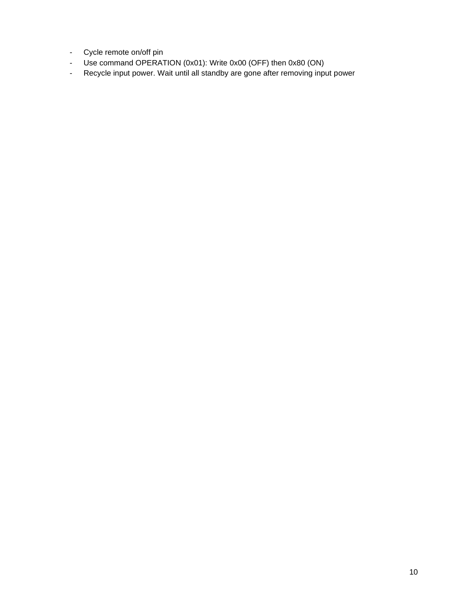- Cycle remote on/off pin
- Use command OPERATION (0x01): Write 0x00 (OFF) then 0x80 (ON)
- Recycle input power. Wait until all standby are gone after removing input power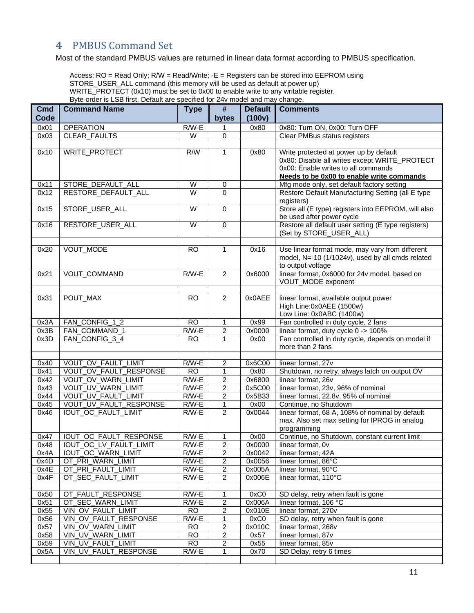# <span id="page-10-0"></span>**4** PMBUS Command Set

Most of the standard PMBUS values are returned in linear data format according to PMBUS specification.

Access: RO = Read Only; R/W = Read/Write; -E = Registers can be stored into EEPROM using STORE\_USER\_ALL command (this memory will be used as default at power up) WRITE\_PROTECT (0x10) must be set to 0x00 to enable write to any writable register. Byte order is LSB first, Default are specified for 24v model and may change.

| Cmd<br>Code | <b>Command Name</b>                         | <b>Type</b>      | #<br>bytes              | <b>Default</b><br>(100v) | <b>Comments</b>                                                 |
|-------------|---------------------------------------------|------------------|-------------------------|--------------------------|-----------------------------------------------------------------|
| 0x01        | <b>OPERATION</b>                            | $R/W-E$          | 1                       | 0x80                     | 0x80: Turn ON, 0x00: Turn OFF                                   |
| 0x03        | CLEAR_FAULTS                                | W                | 0                       |                          | Clear PMBus status registers                                    |
|             |                                             |                  |                         |                          |                                                                 |
| 0x10        | WRITE_PROTECT                               | $\overline{R/W}$ | $\mathbf{1}$            | 0x80                     | Write protected at power up by default                          |
|             |                                             |                  |                         |                          | 0x80: Disable all writes except WRITE_PROTECT                   |
|             |                                             |                  |                         |                          | 0x00: Enable writes to all commands                             |
|             |                                             |                  |                         |                          | Needs to be 0x00 to enable write commands                       |
| 0x11        | STORE DEFAULT ALL                           | W                | 0                       |                          | Mfg mode only, set default factory setting                      |
| 0x12        | RESTORE DEFAULT ALL                         | W                | 0                       |                          | Restore Default Manufacturing Setting (all E type<br>registers) |
| 0x15        | STORE_USER_ALL                              | $\overline{W}$   | 0                       |                          | Store all (E type) registers into EEPROM, will also             |
|             |                                             |                  |                         |                          | be used after power cycle                                       |
| 0x16        | RESTORE_USER_ALL                            | W                | 0                       |                          | Restore all default user setting (E type registers)             |
|             |                                             |                  |                         |                          | (Set by STORE_USER_ALL)                                         |
|             |                                             |                  |                         |                          |                                                                 |
| 0x20        | VOUT_MODE                                   | <b>RO</b>        | $\mathbf{1}$            | 0x16                     | Use linear format mode, may vary from different                 |
|             |                                             |                  |                         |                          | model, N=-10 (1/1024v), used by all cmds related                |
|             |                                             |                  |                         |                          | to output voltage                                               |
| 0x21        | VOUT_COMMAND                                | $R/W-E$          | $\overline{2}$          | 0x6000                   | linear format, 0x6000 for 24v model, based on                   |
|             |                                             |                  |                         |                          | VOUT_MODE exponent                                              |
|             |                                             |                  |                         |                          |                                                                 |
| 0x31        | POUT_MAX                                    | <b>RO</b>        | $\overline{2}$          | 0x0AEE                   | linear format, available output power                           |
|             |                                             |                  |                         |                          | High Line:0x0AEE (1500w)                                        |
|             |                                             |                  |                         |                          | Low Line: 0x0ABC (1400w)                                        |
| 0x3A        | FAN_CONFIG_1_2                              | <b>RO</b>        | 1                       | 0x99                     | Fan controlled in duty cycle, 2 fans                            |
| 0x3B        | FAN_COMMAND_1                               | $R/W-E$          | $\overline{c}$          | 0x0000                   | linear format, duty cycle 0 -> 100%                             |
| 0x3D        | FAN CONFIG 3 4                              | <b>RO</b>        | $\mathbf{1}$            | 0x00                     | Fan controlled in duty cycle, depends on model if               |
|             |                                             |                  |                         |                          | more than 2 fans                                                |
| 0x40        | VOUT_OV_FAULT_LIMIT                         | $R/W-E$          | 2                       | 0x6C00                   | linear format, 27v                                              |
| 0x41        | VOUT OV FAULT RESPONSE                      | $\overline{RO}$  | $\mathbf{1}$            | 0x80                     | Shutdown, no retry, always latch on output OV                   |
| 0x42        | VOUT_OV_WARN_LIMIT                          | $R/W-E$          | $\overline{2}$          | 0x6800                   | linear format, 26v                                              |
| 0x43        | VOUT_UV_WARN_LIMIT                          | $R/W-E$          | $\overline{\mathbf{c}}$ | 0x5C00                   | linear format, 23v, 96% of nominal                              |
| 0x44        | VOUT_UV_FAULT_LIMIT                         | $R/W-E$          | $\overline{2}$          | 0x5B33                   | linear format, 22.8v, 95% of nominal                            |
| 0x45        | VOUT_UV_FAULT_RESPONSE                      | $R/W-E$          | $\mathbf{1}$            | 0x00                     | Continue, no Shutdown                                           |
| 0x46        | IOUT_OC_FAULT_LIMIT                         | $R/W-E$          | $\overline{2}$          | 0x0044                   | linear format, 68 A, 108% of nominal by default                 |
|             |                                             |                  |                         |                          | max. Also set max setting for IPROG in analog                   |
|             |                                             |                  |                         |                          | programming                                                     |
| 0x47        | IOUT_OC_FAULT_RESPONSE                      | $R/W-E$          | 1                       | 0x00                     | Continue, no Shutdown, constant current limit                   |
| 0x48        | IOUT_OC_LV_FAULT_LIMIT                      | $R/W-E$          | $\overline{2}$          | 0x0000                   | linear format, Ov                                               |
| 0x4A        | IOUT_OC_WARN_LIMIT                          | R/W-E            | 2                       | 0x0042                   | linear format, 42A                                              |
| 0x4D        | OT_PRI_WARN_LIMIT                           | $R/W-E$          | 2                       | 0x0056                   | linear format, 86°C                                             |
| 0x4E        | OT_PRI_FAULT_LIMIT                          | $R/W-E$          | 2                       | 0x005A                   | linear format, 90°C                                             |
| 0x4F        | OT_SEC_FAULT_LIMIT                          | $R/W-E$          | $\overline{2}$          | 0x006E                   | linear format, 110°C                                            |
|             |                                             |                  |                         |                          |                                                                 |
| 0x50        | OT_FAULT_RESPONSE                           | $R/W-E$          | 1                       | 0xC0                     | SD delay, retry when fault is gone                              |
| 0x51        | OT_SEC_WARN_LIMIT                           | R/W-E            | $\overline{2}$          | 0x006A                   | linear format, 106 °C                                           |
| 0x55        | VIN OV_FAULT_LIMIT                          | <b>RO</b>        | $\overline{\mathbf{c}}$ | 0x010E                   | linear format, 270v                                             |
| 0x56        | VIN OV FAULT RESPONSE                       | $R/W-E$          | 1                       | 0xC0                     | SD delay, retry when fault is gone                              |
| 0x57        | VIN OV_WARN_LIMIT                           | <b>RO</b>        | 2                       | 0x010C                   | linear format, 268v                                             |
| 0x58        | VIN_UV_WARN_LIMIT                           | <b>RO</b>        | 2                       | 0x57                     | linear format, 87v                                              |
| 0x59        | VIN_UV_FAULT_LIMIT<br>VIN UV FAULT RESPONSE | <b>RO</b>        | $\overline{c}$          | 0x55                     | linear format, 85v<br>SD Delay, retry 6 times                   |
| 0x5A        |                                             | $R/W-E$          | 1                       | 0x70                     |                                                                 |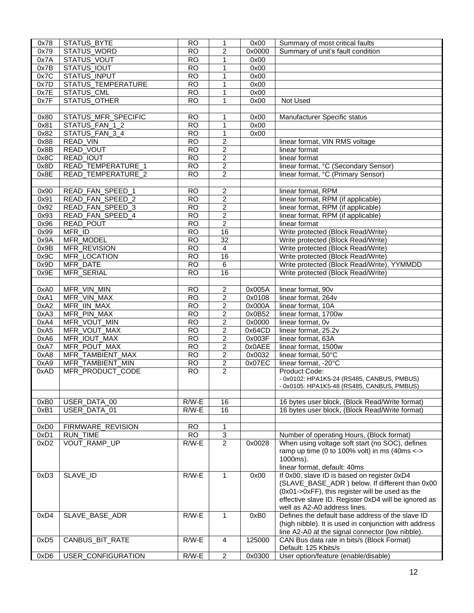| 0x78             | STATUS_BYTE         | <b>RO</b>       | 1                       | 0x00   | Summary of most critical faults                        |
|------------------|---------------------|-----------------|-------------------------|--------|--------------------------------------------------------|
| 0x79             | STATUS_WORD         | <b>RO</b>       | $\overline{c}$          | 0x0000 | Summary of unit's fault condition                      |
| 0x7A             | STATUS_VOUT         | $\overline{RO}$ | 1                       | 0x00   |                                                        |
| 0x7B             | STATUS_IOUT         | <b>RO</b>       | 1                       | 0x00   |                                                        |
| 0x7C             | STATUS_INPUT        | RO              | 1                       | 0x00   |                                                        |
| 0x7D             | STATUS_TEMPERATURE  | <b>RO</b>       | $\mathbf{1}$            | 0x00   |                                                        |
|                  |                     |                 |                         |        |                                                        |
| 0x7E             | <b>STATUS CML</b>   | $\overline{RO}$ | $\mathbf{1}$            | 0x00   |                                                        |
| 0x7F             | <b>STATUS OTHER</b> | <b>RO</b>       | $\mathbf{1}$            | 0x00   | Not Used                                               |
|                  |                     |                 |                         |        |                                                        |
| 0x80             | STATUS_MFR_SPECIFIC | <b>RO</b>       | 1                       | 0x00   | Manufacturer Specific status                           |
| 0x81             | STATUS_FAN_1_2      | $\overline{RO}$ | $\mathbf{1}$            | 0x00   |                                                        |
| 0x82             | STATUS_FAN_3_4      | <b>RO</b>       | $\mathbf{1}$            | 0x00   |                                                        |
| 0x88             | READ_VIN            | <b>RO</b>       | 2                       |        | linear format, VIN RMS voltage                         |
| 0x8B             | READ_VOUT           | <b>RO</b>       | $\overline{2}$          |        | linear format                                          |
| 0x8C             | READ_IOUT           | <b>RO</b>       | $\overline{2}$          |        | linear format                                          |
|                  |                     |                 |                         |        |                                                        |
| 0x8D             | READ_TEMPERATURE_1  | <b>RO</b>       | $\overline{2}$          |        | linear format, °C (Secondary Sensor)                   |
| 0x8E             | READ_TEMPERATURE_2  | <b>RO</b>       | $\overline{2}$          |        | linear format, °C (Primary Sensor)                     |
|                  |                     |                 |                         |        |                                                        |
| 0x90             | READ_FAN_SPEED_1    | <b>RO</b>       | $\overline{2}$          |        | linear format, RPM                                     |
| 0x91             | READ_FAN_SPEED_2    | <b>RO</b>       | $\overline{c}$          |        | linear format, RPM (if applicable)                     |
| 0x92             | READ_FAN_SPEED_3    | <b>RO</b>       | $\overline{c}$          |        | linear format, RPM (if applicable)                     |
| 0x93             | READ_FAN_SPEED_4    | <b>RO</b>       | $\overline{\mathbf{c}}$ |        | linear format, RPM (if applicable)                     |
|                  |                     |                 | $\overline{2}$          |        |                                                        |
| 0x96             | READ_POUT           | <b>RO</b>       |                         |        | linear format                                          |
| 0x99             | MFR_ID              | <b>RO</b>       | 16                      |        | Write protected (Block Read/Write)                     |
| 0x9A             | MFR_MODEL           | <b>RO</b>       | 32                      |        | Write protected (Block Read/Write)                     |
| 0x9B             | MFR_REVISION        | <b>RO</b>       | 4                       |        | Write protected (Block Read/Write)                     |
| 0x9C             | MFR_LOCATION        | <b>RO</b>       | 16                      |        | Write protected (Block Read/Write)                     |
| 0x9D             | MFR_DATE            | <b>RO</b>       | $\overline{6}$          |        | Write protected (Block Read/Write), YYMMDD             |
| 0x9E             | MFR_SERIAL          | <b>RO</b>       | 16                      |        | Write protected (Block Read/Write)                     |
|                  |                     |                 |                         |        |                                                        |
|                  |                     |                 |                         |        |                                                        |
| 0xA0             | MFR_VIN_MIN         | <b>RO</b>       | $\overline{\mathbf{c}}$ | 0x005A | linear format, 90v                                     |
| 0xA1             | MFR_VIN_MAX         | $\overline{RO}$ | $\overline{2}$          | 0x0108 | linear format, 264v                                    |
| 0xA2             | MFR_IIN_MAX         | $\overline{RO}$ | $\overline{2}$          | 0x000A | linear format, 10A                                     |
| 0xA3             | MFR_PIN_MAX         | <b>RO</b>       | $\overline{2}$          | 0x0B52 | linear format, 1700w                                   |
| 0xA4             | MFR_VOUT_MIN        | <b>RO</b>       | $\overline{\mathbf{c}}$ | 0x0000 | linear format, Ov                                      |
| 0xA5             | MFR_VOUT_MAX        | <b>RO</b>       | $\overline{2}$          | 0x64CD | linear format, 25.2v                                   |
| 0xA6             | MFR_IOUT_MAX        | <b>RO</b>       | $\overline{2}$          | 0x003F | linear format, 63A                                     |
| 0xA7             | MFR_POUT_MAX        | <b>RO</b>       | $\overline{2}$          | 0x0AEE | linear format, 1500w                                   |
|                  |                     |                 |                         |        | linear format, 50°C                                    |
| 0xA8             | MFR_TAMBIENT_MAX    | <b>RO</b>       | $\overline{c}$          | 0x0032 |                                                        |
| 0xA9             | MFR_TAMBIENT_MIN    | <b>RO</b>       | $\overline{2}$          | 0x07EC | linear format, -20°C                                   |
| 0xAD             | MFR_PRODUCT_CODE    | <b>RO</b>       | $\overline{2}$          |        | Product Code:                                          |
|                  |                     |                 |                         |        | - 0x0102: HPA1K5-24 (RS485, CANBUS, PMBUS)             |
|                  |                     |                 |                         |        | - 0x0105: HPA1K5-48 (RS485, CANBUS, PMBUS)             |
|                  |                     |                 |                         |        |                                                        |
| 0xB0             | USER_DATA_00        | $R/W-E$         | 16                      |        | 16 bytes user block, (Block Read/Write format)         |
| 0xB1             | USER_DATA_01        | $R/W-E$         | 16                      |        | 16 bytes user block, (Block Read/Write format)         |
|                  |                     |                 |                         |        |                                                        |
| 0xD <sub>0</sub> | FIRMWARE_REVISION   | <b>RO</b>       | $\mathbf{1}$            |        |                                                        |
| 0xD1             | <b>RUN_TIME</b>     | <b>RO</b>       | 3                       |        |                                                        |
|                  |                     |                 |                         |        | Number of operating Hours, (Block format)              |
| 0xD <sub>2</sub> | VOUT_RAMP_UP        | $R/W-E$         | $\overline{2}$          | 0x0028 | When using voltage soft start (no SOC), defines        |
|                  |                     |                 |                         |        | ramp up time (0 to 100% volt) in ms (40ms $\leftarrow$ |
|                  |                     |                 |                         |        | 1000ms).                                               |
|                  |                     |                 |                         |        | linear format, default: 40ms                           |
| 0xD3             | SLAVE_ID            | $R/W-E$         | 1                       | 0x00   | If 0x00, slave ID is based on register 0xD4            |
|                  |                     |                 |                         |        | (SLAVE_BASE_ADR) below. If different than 0x00         |
|                  |                     |                 |                         |        | (0x01->0xFF), this register will be used as the        |
|                  |                     |                 |                         |        | effective slave ID. Register 0xD4 will be ignored as   |
|                  |                     |                 |                         |        | well as A2-A0 address lines.                           |
|                  |                     |                 |                         |        |                                                        |
| 0xD4             | SLAVE_BASE_ADR      | $R/W-E$         | $\mathbf{1}$            | 0xB0   | Defines the default base address of the slave ID       |
|                  |                     |                 |                         |        | (high nibble). It is used in conjunction with address  |
|                  |                     |                 |                         |        | line A2-A0 at the signal connector (low nibble).       |
| 0xD <sub>5</sub> | CANBUS_BIT_RATE     | $R/W-E$         | 4                       | 125000 | CAN Bus data rate in bits/s (Block Format)             |
|                  |                     |                 |                         |        | Default: 125 Kbits/s                                   |
| 0xD6             | USER_CONFIGURATION  | $R/W-E$         | $\overline{2}$          | 0x0300 | User option/feature (enable/disable)                   |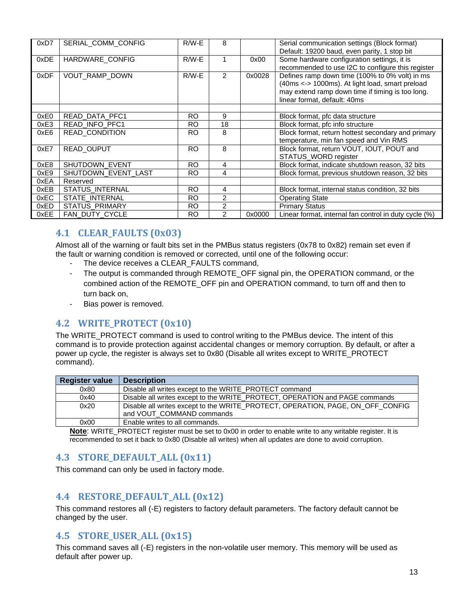| 0xD7 | SERIAL_COMM_CONFIG     | $R/W-E$   | 8              |        | Serial communication settings (Block format)<br>Default: 19200 baud, even parity, 1 stop bit                                                                                          |
|------|------------------------|-----------|----------------|--------|---------------------------------------------------------------------------------------------------------------------------------------------------------------------------------------|
| 0xDE | HARDWARE_CONFIG        | $R/W-E$   |                | 0x00   | Some hardware configuration settings, it is<br>recommended to use I2C to configure this register                                                                                      |
| 0xDF | <b>VOUT RAMP DOWN</b>  | $R/W-E$   | 2              | 0x0028 | Defines ramp down time (100% to 0% volt) in ms<br>(40ms <-> 1000ms). At light load, smart preload<br>may extend ramp down time if timing is too long.<br>linear format, default: 40ms |
|      |                        |           |                |        |                                                                                                                                                                                       |
| 0xE0 | READ DATA PFC1         | RO.       | 9              |        | Block format, pfc data structure                                                                                                                                                      |
| 0xE3 | READ_INFO_PFC1         | RO.       | 18             |        | Block format, pfc info structure                                                                                                                                                      |
| 0xE6 | <b>READ CONDITION</b>  | RO.       | 8              |        | Block format, return hottest secondary and primary<br>temperature, min fan speed and Vin RMS                                                                                          |
| 0xE7 | READ_OUPUT             | <b>RO</b> | 8              |        | Block format, return VOUT, IOUT, POUT and<br>STATUS_WORD register                                                                                                                     |
| 0xE8 | SHUTDOWN_EVENT         | RO.       | 4              |        | Block format, indicate shutdown reason, 32 bits                                                                                                                                       |
| 0xE9 | SHUTDOWN_EVENT_LAST    | RO.       | 4              |        | Block format, previous shutdown reason, 32 bits                                                                                                                                       |
| 0xEA | Reserved               |           |                |        |                                                                                                                                                                                       |
| 0xEB | <b>STATUS INTERNAL</b> | <b>RO</b> | 4              |        | Block format, internal status condition, 32 bits                                                                                                                                      |
| 0xEC | STATE_INTERNAL         | RO.       | $\overline{c}$ |        | <b>Operating State</b>                                                                                                                                                                |
| 0xED | STATUS_PRIMARY         | RO.       | 2              |        | <b>Primary Status</b>                                                                                                                                                                 |
| 0xEE | FAN_DUTY_CYCLE         | RO.       | $\overline{2}$ | 0x0000 | Linear format, internal fan control in duty cycle (%)                                                                                                                                 |

# <span id="page-12-0"></span>**4.1 CLEAR\_FAULTS (0x03)**

Almost all of the warning or fault bits set in the PMBus status registers (0x78 to 0x82) remain set even if the fault or warning condition is removed or corrected, until one of the following occur:

- The device receives a CLEAR\_FAULTS command,
- The output is commanded through REMOTE OFF signal pin, the OPERATION command, or the combined action of the REMOTE\_OFF pin and OPERATION command, to turn off and then to turn back on,
- Bias power is removed.

# <span id="page-12-1"></span>**4.2 WRITE\_PROTECT (0x10)**

The WRITE\_PROTECT command is used to control writing to the PMBus device. The intent of this command is to provide protection against accidental changes or memory corruption. By default, or after a power up cycle, the register is always set to 0x80 (Disable all writes except to WRITE\_PROTECT command).

| <b>Register value</b> | <b>Description</b>                                                             |  |
|-----------------------|--------------------------------------------------------------------------------|--|
| 0x80                  | Disable all writes except to the WRITE PROTECT command                         |  |
| 0x40                  | Disable all writes except to the WRITE_PROTECT, OPERATION and PAGE commands    |  |
| 0x20                  | Disable all writes except to the WRITE_PROTECT, OPERATION, PAGE, ON_OFF_CONFIG |  |
|                       | and VOUT COMMAND commands                                                      |  |
| 0x00                  | Enable writes to all commands.                                                 |  |

**Note**: WRITE\_PROTECT register must be set to 0x00 in order to enable write to any writable register. It is recommended to set it back to 0x80 (Disable all writes) when all updates are done to avoid corruption.

# <span id="page-12-2"></span>**4.3 STORE\_DEFAULT\_ALL (0x11)**

This command can only be used in factory mode.

# <span id="page-12-3"></span>**4.4 RESTORE\_DEFAULT\_ALL (0x12)**

This command restores all (-E) registers to factory default parameters. The factory default cannot be changed by the user.

# <span id="page-12-4"></span>**4.5 STORE\_USER\_ALL (0x15)**

This command saves all (-E) registers in the non-volatile user memory. This memory will be used as default after power up.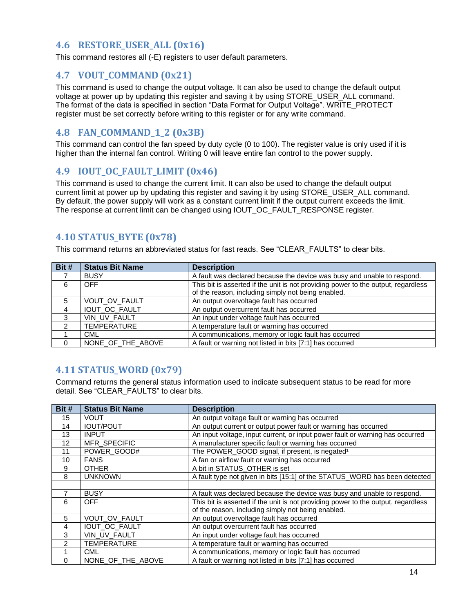# <span id="page-13-0"></span>**4.6 RESTORE\_USER\_ALL (0x16)**

<span id="page-13-1"></span>This command restores all (-E) registers to user default parameters.

# **4.7 VOUT\_COMMAND (0x21)**

This command is used to change the output voltage. It can also be used to change the default output voltage at power up by updating this register and saving it by using STORE\_USER\_ALL command. The format of the data is specified in section "Data Format for Output Voltage". WRITE\_PROTECT register must be set correctly before writing to this register or for any write command.

# <span id="page-13-2"></span>**4.8 FAN\_COMMAND\_1\_2 (0x3B)**

This command can control the fan speed by duty cycle (0 to 100). The register value is only used if it is higher than the internal fan control. Writing 0 will leave entire fan control to the power supply.

# <span id="page-13-3"></span>**4.9 IOUT\_OC\_FAULT\_LIMIT (0x46)**

This command is used to change the current limit. It can also be used to change the default output current limit at power up by updating this register and saving it by using STORE\_USER\_ALL command. By default, the power supply will work as a constant current limit if the output current exceeds the limit. The response at current limit can be changed using IOUT\_OC\_FAULT\_RESPONSE register.

# <span id="page-13-4"></span>**4.10 STATUS\_BYTE (0x78)**

This command returns an abbreviated status for fast reads. See "CLEAR\_FAULTS" to clear bits.

| Bit #    | <b>Status Bit Name</b> | <b>Description</b>                                                                |
|----------|------------------------|-----------------------------------------------------------------------------------|
|          | <b>BUSY</b>            | A fault was declared because the device was busy and unable to respond.           |
| 6        | OFF.                   | This bit is asserted if the unit is not providing power to the output, regardless |
|          |                        | of the reason, including simply not being enabled.                                |
| 5        | <b>VOUT OV FAULT</b>   | An output overvoltage fault has occurred                                          |
| 4        | IOUT_OC_FAULT          | An output overcurrent fault has occurred                                          |
| 3        | VIN_UV_FAULT           | An input under voltage fault has occurred                                         |
| 2        | <b>TEMPERATURE</b>     | A temperature fault or warning has occurred                                       |
|          | <b>CML</b>             | A communications, memory or logic fault has occurred                              |
| $\Omega$ | NONE OF THE ABOVE      | A fault or warning not listed in bits [7:1] has occurred                          |

# <span id="page-13-5"></span>**4.11 STATUS\_WORD (0x79)**

Command returns the general status information used to indicate subsequent status to be read for more detail. See "CLEAR\_FAULTS" to clear bits.

| Bit #             | <b>Status Bit Name</b> | <b>Description</b>                                                                |
|-------------------|------------------------|-----------------------------------------------------------------------------------|
| 15                | <b>VOUT</b>            | An output voltage fault or warning has occurred                                   |
| 14                | <b>IOUT/POUT</b>       | An output current or output power fault or warning has occurred                   |
| 13                | <b>INPUT</b>           | An input voltage, input current, or input power fault or warning has occurred     |
| $12 \overline{ }$ | MFR_SPECIFIC           | A manufacturer specific fault or warning has occurred                             |
| 11                | POWER_GOOD#            | The POWER_GOOD signal, if present, is negated <sup>1</sup>                        |
| 10                | <b>FANS</b>            | A fan or airflow fault or warning has occurred                                    |
| 9                 | <b>OTHER</b>           | A bit in STATUS_OTHER is set                                                      |
| 8                 | <b>UNKNOWN</b>         | A fault type not given in bits [15:1] of the STATUS_WORD has been detected        |
|                   |                        |                                                                                   |
|                   | <b>BUSY</b>            | A fault was declared because the device was busy and unable to respond.           |
| 6                 | OFF.                   | This bit is asserted if the unit is not providing power to the output, regardless |
|                   |                        | of the reason, including simply not being enabled.                                |
| 5                 | VOUT_OV_FAULT          | An output overvoltage fault has occurred                                          |
| 4                 | IOUT_OC_FAULT          | An output overcurrent fault has occurred                                          |
| 3                 | VIN_UV_FAULT           | An input under voltage fault has occurred                                         |
| 2                 | <b>TEMPERATURE</b>     | A temperature fault or warning has occurred                                       |
|                   | <b>CML</b>             | A communications, memory or logic fault has occurred                              |
| $\Omega$          | NONE OF THE ABOVE      | A fault or warning not listed in bits [7:1] has occurred                          |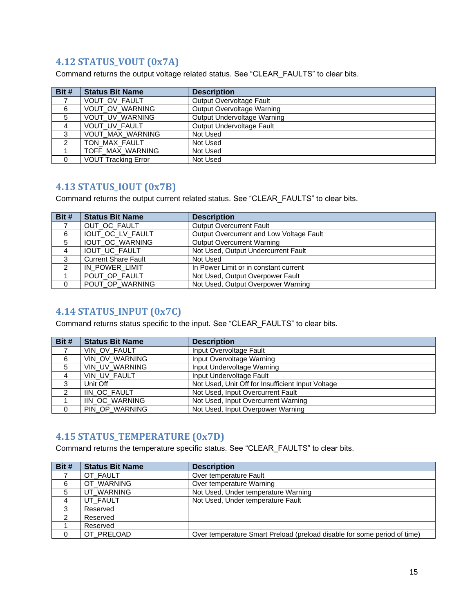# <span id="page-14-0"></span>**4.12 STATUS\_VOUT (0x7A)**

Command returns the output voltage related status. See "CLEAR\_FAULTS" to clear bits.

| Bit #          | <b>Status Bit Name</b>     | <b>Description</b>          |
|----------------|----------------------------|-----------------------------|
|                | VOUT_OV_FAULT              | Output Overvoltage Fault    |
| 6              | VOUT_OV_WARNING            | Output Overvoltage Warning  |
| 5              | VOUT_UV_WARNING            | Output Undervoltage Warning |
| $\overline{4}$ | VOUT_UV_FAULT              | Output Undervoltage Fault   |
| 3              | VOUT_MAX_WARNING           | Not Used                    |
| 2              | TON MAX FAULT              | Not Used                    |
|                | TOFF_MAX_WARNING           | Not Used                    |
| 0              | <b>VOUT Tracking Error</b> | Not Used                    |

# <span id="page-14-1"></span>**4.13 STATUS\_IOUT (0x7B)**

Command returns the output current related status. See "CLEAR\_FAULTS" to clear bits.

| Bit #          | <b>Status Bit Name</b>     | <b>Description</b>                       |
|----------------|----------------------------|------------------------------------------|
| $\overline{7}$ | OUT OC FAULT               | <b>Output Overcurrent Fault</b>          |
| 6              | IOUT OC LV FAULT           | Output Overcurrent and Low Voltage Fault |
| 5              | IOUT_OC_WARNING            | <b>Output Overcurrent Warning</b>        |
| $\overline{4}$ | IOUT_UC_FAULT              | Not Used, Output Undercurrent Fault      |
| 3              | <b>Current Share Fault</b> | Not Used                                 |
| 2              | IN_POWER_LIMIT             | In Power Limit or in constant current    |
|                | POUT OP FAULT              | Not Used, Output Overpower Fault         |
| 0              | POUT_OP_WARNING            | Not Used, Output Overpower Warning       |

# <span id="page-14-2"></span>**4.14 STATUS\_INPUT (0x7C)**

Command returns status specific to the input. See "CLEAR\_FAULTS" to clear bits.

| Bit #    | <b>Status Bit Name</b> | <b>Description</b>                                |
|----------|------------------------|---------------------------------------------------|
|          | VIN_OV_FAULT           | Input Overvoltage Fault                           |
| 6        | VIN OV WARNING         | Input Overvoltage Warning                         |
| 5        | VIN_UV_WARNING         | Input Undervoltage Warning                        |
|          | VIN_UV_FAULT           | Input Undervoltage Fault                          |
| 3        | Unit Off               | Not Used, Unit Off for Insufficient Input Voltage |
| 2        | IIN OC FAULT           | Not Used, Input Overcurrent Fault                 |
|          | IIN OC WARNING         | Not Used, Input Overcurrent Warning               |
| $\Omega$ | PIN OP WARNING         | Not Used, Input Overpower Warning                 |

# <span id="page-14-3"></span>**4.15 STATUS\_TEMPERATURE (0x7D)**

Command returns the temperature specific status. See "CLEAR\_FAULTS" to clear bits.

| Bit # | <b>Status Bit Name</b> | <b>Description</b>                                                       |
|-------|------------------------|--------------------------------------------------------------------------|
|       | OT_FAULT               | Over temperature Fault                                                   |
| 6     | OT_WARNING             | Over temperature Warning                                                 |
| 5     | UT_WARNING             | Not Used, Under temperature Warning                                      |
| 4     | UT_FAULT               | Not Used, Under temperature Fault                                        |
| 3     | Reserved               |                                                                          |
| 2     | Reserved               |                                                                          |
|       | Reserved               |                                                                          |
|       | OT_PRELOAD             | Over temperature Smart Preload (preload disable for some period of time) |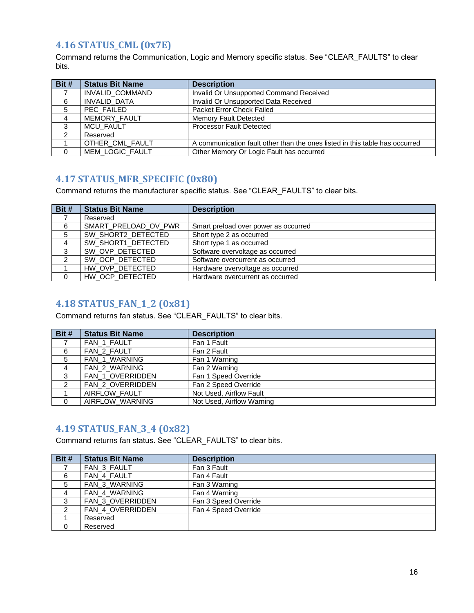# <span id="page-15-0"></span>**4.16 STATUS\_CML (0x7E)**

Command returns the Communication, Logic and Memory specific status. See "CLEAR\_FAULTS" to clear bits.

| Bit #         | <b>Status Bit Name</b> | <b>Description</b>                                                          |
|---------------|------------------------|-----------------------------------------------------------------------------|
|               | INVALID COMMAND        | Invalid Or Unsupported Command Received                                     |
| 6             | <b>INVALID DATA</b>    | Invalid Or Unsupported Data Received                                        |
| 5             | PEC_FAILED             | Packet Error Check Failed                                                   |
| 4             | MEMORY_FAULT           | Memory Fault Detected                                                       |
| 3             | <b>MCU FAULT</b>       | <b>Processor Fault Detected</b>                                             |
| $\mathcal{P}$ | Reserved               |                                                                             |
|               | OTHER CML FAULT        | A communication fault other than the ones listed in this table has occurred |
| $\Omega$      | MEM_LOGIC_FAULT        | Other Memory Or Logic Fault has occurred                                    |

# <span id="page-15-1"></span>**4.17 STATUS\_MFR\_SPECIFIC (0x80)**

Command returns the manufacturer specific status. See "CLEAR\_FAULTS" to clear bits.

| Bit # | <b>Status Bit Name</b> | <b>Description</b>                   |
|-------|------------------------|--------------------------------------|
|       | Reserved               |                                      |
| 6     | SMART_PRELOAD_OV_PWR   | Smart preload over power as occurred |
| 5     | SW_SHORT2_DETECTED     | Short type 2 as occurred             |
| 4     | SW_SHORT1_DETECTED     | Short type 1 as occurred             |
| 3     | SW_OVP_DETECTED        | Software overvoltage as occurred     |
|       | SW_OCP_DETECTED        | Software overcurrent as occurred     |
|       | HW_OVP_DETECTED        | Hardware overvoltage as occurred     |
| 0     | HW OCP DETECTED        | Hardware overcurrent as occurred     |

# <span id="page-15-2"></span>**4.18 STATUS\_FAN\_1\_2 (0x81)**

Command returns fan status. See "CLEAR\_FAULTS" to clear bits.

| Bit #          | <b>Status Bit Name</b> | <b>Description</b>        |
|----------------|------------------------|---------------------------|
|                | FAN 1 FAULT            | Fan 1 Fault               |
| 6              | FAN 2 FAULT            | Fan 2 Fault               |
| 5              | <b>FAN 1 WARNING</b>   | Fan 1 Warning             |
| $\overline{4}$ | <b>FAN 2 WARNING</b>   | Fan 2 Warning             |
| 3              | FAN_1_OVERRIDDEN       | Fan 1 Speed Override      |
| ົ              | FAN_2_OVERRIDDEN       | Fan 2 Speed Override      |
|                | AIRFLOW_FAULT          | Not Used, Airflow Fault   |
| $\Omega$       | AIRFLOW_WARNING        | Not Used, Airflow Warning |

# <span id="page-15-3"></span>**4.19 STATUS\_FAN\_3\_4 (0x82)**

Command returns fan status. See "CLEAR\_FAULTS" to clear bits.

| Bit # | <b>Status Bit Name</b> | <b>Description</b>   |
|-------|------------------------|----------------------|
|       | FAN 3 FAULT            | Fan 3 Fault          |
| 6     | FAN 4 FAULT            | Fan 4 Fault          |
| 5     | FAN_3_WARNING          | Fan 3 Warning        |
| 4     | FAN_4_WARNING          | Fan 4 Warning        |
| 3     | FAN_3_OVERRIDDEN       | Fan 3 Speed Override |
|       | FAN 4 OVERRIDDEN       | Fan 4 Speed Override |
|       | Reserved               |                      |
| 0     | Reserved               |                      |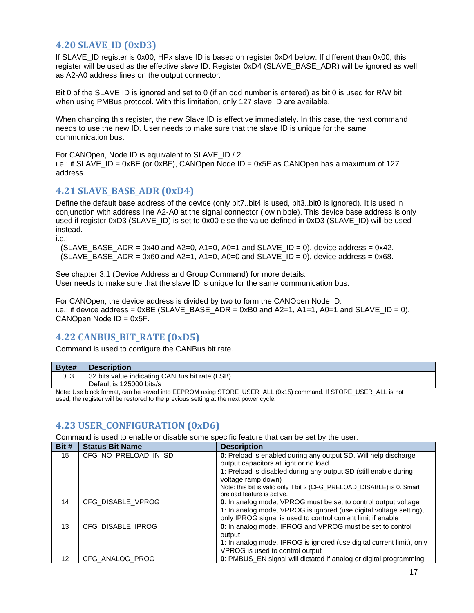# <span id="page-16-0"></span>**4.20 SLAVE\_ID (0xD3)**

If SLAVE\_ID register is 0x00, HPx slave ID is based on register 0xD4 below. If different than 0x00, this register will be used as the effective slave ID. Register 0xD4 (SLAVE\_BASE\_ADR) will be ignored as well as A2-A0 address lines on the output connector.

Bit 0 of the SLAVE ID is ignored and set to 0 (if an odd number is entered) as bit 0 is used for R/W bit when using PMBus protocol. With this limitation, only 127 slave ID are available.

When changing this register, the new Slave ID is effective immediately. In this case, the next command needs to use the new ID. User needs to make sure that the slave ID is unique for the same communication bus.

For CANOpen, Node ID is equivalent to SLAVE\_ID / 2.

i.e.: if SLAVE ID = 0xBE (or 0xBF), CANOpen Node ID = 0x5F as CANOpen has a maximum of 127 address.

# <span id="page-16-1"></span>**4.21 SLAVE\_BASE\_ADR (0xD4)**

Define the default base address of the device (only bit7..bit4 is used, bit3..bit0 is ignored). It is used in conjunction with address line A2-A0 at the signal connector (low nibble). This device base address is only used if register 0xD3 (SLAVE\_ID) is set to 0x00 else the value defined in 0xD3 (SLAVE\_ID) will be used instead.

i.e.:

 $-$  (SLAVE\_BASE\_ADR = 0x40 and A2=0, A1=0, A0=1 and SLAVE\_ID = 0), device address = 0x42.  $-$  (SLAVE\_BASE\_ADR = 0x60 and A2=1, A1=0, A0=0 and SLAVE\_ID = 0), device address = 0x68.

See chapter 3.1 (Device Address and Group Command) for more details. User needs to make sure that the slave ID is unique for the same communication bus.

For CANOpen, the device address is divided by two to form the CANOpen Node ID. i.e.: if device address =  $0xBE$  (SLAVE\_BASE\_ADR =  $0xB0$  and  $A2=1$ ,  $A1=1$ ,  $A0=1$  and SLAVE\_ID = 0), CANOpen Node ID = 0x5F.

# <span id="page-16-2"></span>**4.22 CANBUS\_BIT\_RATE (0xD5)**

Command is used to configure the CANBus bit rate.

| Byte# | <b>Description</b>                                                                                              |
|-------|-----------------------------------------------------------------------------------------------------------------|
| 03    | 32 bits value indicating CANBus bit rate (LSB)                                                                  |
|       | Default is 125000 bits/s                                                                                        |
|       | Neter the bleak female and be equiped into EEDDOM using CTODE HOED. ALL (0.4E) seminard HOTODE HOED. ALL is not |

Note: Use block format, can be saved into EEPROM using STORE\_USER\_ALL (0x15) command. If STORE\_USER\_ALL is not used, the register will be restored to the previous setting at the next power cycle.

# <span id="page-16-3"></span>**4.23 USER\_CONFIGURATION (0xD6)**

Command is used to enable or disable some specific feature that can be set by the user.

| Bit # | <b>Status Bit Name</b> | <b>Description</b>                                                                                       |
|-------|------------------------|----------------------------------------------------------------------------------------------------------|
| 15    | CFG NO PRELOAD IN SD   | 0: Preload is enabled during any output SD. Will help discharge<br>output capacitors at light or no load |
|       |                        | 1: Preload is disabled during any output SD (still enable during<br>voltage ramp down)                   |
|       |                        | Note: this bit is valid only if bit 2 (CFG_PRELOAD_DISABLE) is 0. Smart<br>preload feature is active.    |
| 14    | CFG DISABLE VPROG      | 0: In analog mode, VPROG must be set to control output voltage                                           |
|       |                        | 1: In analog mode, VPROG is ignored (use digital voltage setting),                                       |
|       |                        | only IPROG signal is used to control current limit if enable                                             |
| 13    | CFG_DISABLE_IPROG      | 0: In analog mode, IPROG and VPROG must be set to control                                                |
|       |                        | output                                                                                                   |
|       |                        | 1: In analog mode, IPROG is ignored (use digital current limit), only                                    |
|       |                        | VPROG is used to control output                                                                          |
| 12    | CFG ANALOG PROG        | 0: PMBUS_EN signal will dictated if analog or digital programming                                        |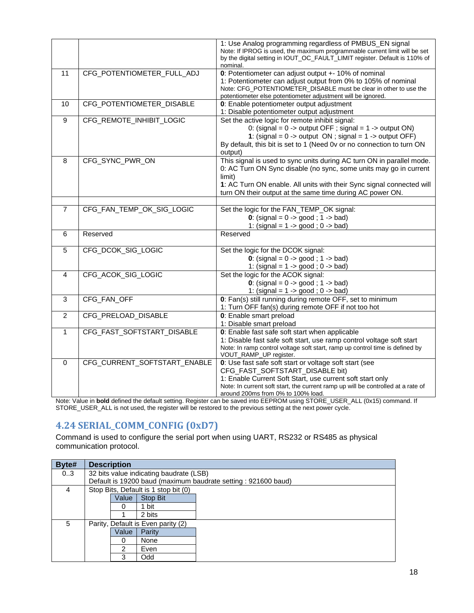|                |                              | 1: Use Analog programming regardless of PMBUS_EN signal                                                                                                              |
|----------------|------------------------------|----------------------------------------------------------------------------------------------------------------------------------------------------------------------|
|                |                              | Note: If IPROG is used, the maximum programmable current limit will be set<br>by the digital setting in IOUT_OC_FAULT_LIMIT register. Default is 110% of<br>nominal. |
| 11             | CFG_POTENTIOMETER_FULL_ADJ   | 0: Potentiometer can adjust output +- 10% of nominal                                                                                                                 |
|                |                              | 1: Potentiometer can adjust output from 0% to 105% of nominal                                                                                                        |
|                |                              | Note: CFG_POTENTIOMETER_DISABLE must be clear in other to use the                                                                                                    |
|                |                              | potentiometer else potentiometer adjustment will be ignored.                                                                                                         |
| 10             | CFG_POTENTIOMETER_DISABLE    | 0: Enable potentiometer output adjustment<br>1: Disable potentiometer output adjustment                                                                              |
| 9              | CFG_REMOTE_INHIBIT_LOGIC     | Set the active logic for remote inhibit signal:                                                                                                                      |
|                |                              | 0: (signal = $0 \rightarrow$ output OFF; signal = $1 \rightarrow$ output ON)                                                                                         |
|                |                              | 1: (signal = $0 \rightarrow$ output ON; signal = $1 \rightarrow$ output OFF)                                                                                         |
|                |                              | By default, this bit is set to 1 (Need 0v or no connection to turn ON                                                                                                |
|                |                              | output)                                                                                                                                                              |
| 8              | CFG SYNC PWR ON              | This signal is used to sync units during AC turn ON in parallel mode.                                                                                                |
|                |                              | 0: AC Turn ON Sync disable (no sync, some units may go in current                                                                                                    |
|                |                              | limit)                                                                                                                                                               |
|                |                              | 1: AC Turn ON enable. All units with their Sync signal connected will                                                                                                |
|                |                              | turn ON their output at the same time during AC power ON.                                                                                                            |
|                |                              |                                                                                                                                                                      |
| $\overline{7}$ | CFG_FAN_TEMP_OK_SIG_LOGIC    | Set the logic for the FAN_TEMP_OK signal:                                                                                                                            |
|                |                              | 0: $(signal = 0 - > good ; 1 - > bad)$<br>1: (signal = $1 -$ > good; $0 -$ bad)                                                                                      |
| 6              | Reserved                     | Reserved                                                                                                                                                             |
|                |                              |                                                                                                                                                                      |
| 5              | CFG_DCOK_SIG_LOGIC           | Set the logic for the DCOK signal:                                                                                                                                   |
|                |                              | 0: $(signal = 0 -> good ; 1 - > bad)$                                                                                                                                |
|                |                              | 1: (signal = $1 -$ > good; 0 - > bad)                                                                                                                                |
| 4              | CFG ACOK SIG LOGIC           | Set the logic for the ACOK signal:                                                                                                                                   |
|                |                              | 0: (signal = $0 \rightarrow$ good; 1 -> bad)                                                                                                                         |
|                |                              | 1: (signal = $1 -$ > good; $0 -$ bad)                                                                                                                                |
| 3              | CFG_FAN_OFF                  | 0: Fan(s) still running during remote OFF, set to minimum                                                                                                            |
|                |                              | 1: Turn OFF fan(s) during remote OFF if not too hot                                                                                                                  |
| $\overline{2}$ | CFG PRELOAD DISABLE          | 0: Enable smart preload<br>1: Disable smart preload                                                                                                                  |
| $\mathbf{1}$   | CFG_FAST_SOFTSTART_DISABLE   | 0: Enable fast safe soft start when applicable                                                                                                                       |
|                |                              | 1: Disable fast safe soft start, use ramp control voltage soft start                                                                                                 |
|                |                              | Note: In ramp control voltage soft start, ramp up control time is defined by                                                                                         |
|                |                              | VOUT_RAMP_UP register.                                                                                                                                               |
| $\Omega$       | CFG CURRENT SOFTSTART ENABLE | 0: Use fast safe soft start or voltage soft start (see                                                                                                               |
|                |                              | CFG_FAST_SOFTSTART_DISABLE bit)                                                                                                                                      |
|                |                              | 1: Enable Current Soft Start, use current soft start only                                                                                                            |
|                |                              | Note: In current soft start, the current ramp up will be controlled at a rate of                                                                                     |
|                |                              | around 200ms from 0% to 100% load.                                                                                                                                   |

Note: Value in **bold** defined the default setting. Register can be saved into EEPROM using STORE\_USER\_ALL (0x15) command. If STORE\_USER\_ALL is not used, the register will be restored to the previous setting at the next power cycle.

# <span id="page-17-0"></span>**4.24 SERIAL\_COMM\_CONFIG (0xD7)**

Command is used to configure the serial port when using UART, RS232 or RS485 as physical communication protocol.

| Byte# | <b>Description</b>                 |       |                                         |                                                               |
|-------|------------------------------------|-------|-----------------------------------------|---------------------------------------------------------------|
| 03    |                                    |       | 32 bits value indicating baudrate (LSB) |                                                               |
|       |                                    |       |                                         | Default is 19200 baud (maximum baudrate setting: 921600 baud) |
| 4     |                                    |       | Stop Bits, Default is 1 stop bit (0)    |                                                               |
|       |                                    | Value | Stop Bit                                |                                                               |
|       |                                    | O     | 1 bit                                   |                                                               |
|       |                                    |       | 2 bits                                  |                                                               |
| 5     | Parity, Default is Even parity (2) |       |                                         |                                                               |
|       |                                    | Value | Parity                                  |                                                               |
|       |                                    | 0     | None                                    |                                                               |
|       |                                    | 2     | Even                                    |                                                               |
|       |                                    | 3     | Odd                                     |                                                               |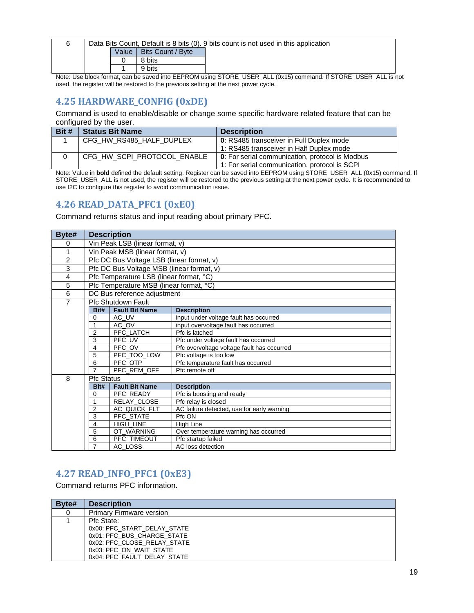| Data Bits Count, Default is 8 bits (0). 9 bits count is not used in this application |       |                   |                                                                                                                                                                                                                                                                                                             |
|--------------------------------------------------------------------------------------|-------|-------------------|-------------------------------------------------------------------------------------------------------------------------------------------------------------------------------------------------------------------------------------------------------------------------------------------------------------|
|                                                                                      | Value | Bits Count / Byte |                                                                                                                                                                                                                                                                                                             |
|                                                                                      |       | 8 bits            |                                                                                                                                                                                                                                                                                                             |
|                                                                                      |       | 9 bits            |                                                                                                                                                                                                                                                                                                             |
|                                                                                      |       |                   | $\mathbf{M}$ , $\mathbf{M}$ , $\mathbf{M}$ , $\mathbf{M}$ , $\mathbf{M}$ , $\mathbf{M}$ , $\mathbf{M}$ , $\mathbf{M}$ , $\mathbf{M}$ , $\mathbf{M}$ , $\mathbf{M}$ , $\mathbf{M}$ , $\mathbf{M}$ , $\mathbf{M}$ , $\mathbf{M}$ , $\mathbf{M}$ , $\mathbf{M}$ , $\mathbf{M}$ , $\mathbf{M}$ , $\mathbf{M}$ , |

Note: Use block format, can be saved into EEPROM using STORE\_USER\_ALL (0x15) command. If STORE\_USER\_ALL is not used, the register will be restored to the previous setting at the next power cycle.

# <span id="page-18-0"></span>**4.25 HARDWARE\_CONFIG (0xDE)**

Command is used to enable/disable or change some specific hardware related feature that can be configured by the user.

| Bit # | <b>Status Bit Name</b>      | <b>Description</b>                                      |
|-------|-----------------------------|---------------------------------------------------------|
|       | CFG_HW_RS485_HALF_DUPLEX    | 0: RS485 transceiver in Full Duplex mode                |
|       |                             | 1: RS485 transceiver in Half Duplex mode                |
|       | CFG_HW_SCPI_PROTOCOL_ENABLE | <b>0</b> : For serial communication, protocol is Modbus |
|       |                             | 1: For serial communication, protocol is SCPI           |

Note: Value in **bold** defined the default setting. Register can be saved into EEPROM using STORE\_USER\_ALL (0x15) command. If STORE\_USER\_ALL is not used, the register will be restored to the previous setting at the next power cycle. It is recommended to use I2C to configure this register to avoid communication issue.

# <span id="page-18-1"></span>**4.26 READ\_DATA\_PFC1 (0xE0)**

Command returns status and input reading about primary PFC.

| Byte#          | <b>Description</b>              |                                           |                                            |
|----------------|---------------------------------|-------------------------------------------|--------------------------------------------|
| 0              | Vin Peak LSB (linear format, v) |                                           |                                            |
| 1              | Vin Peak MSB (linear format, v) |                                           |                                            |
| $\overline{2}$ |                                 | Pfc DC Bus Voltage LSB (linear format, v) |                                            |
| 3              |                                 | Pfc DC Bus Voltage MSB (linear format, v) |                                            |
| 4              |                                 | Pfc Temperature LSB (linear format, °C)   |                                            |
| 5              |                                 | Pfc Temperature MSB (linear format, °C)   |                                            |
| 6              |                                 | DC Bus reference adjustment               |                                            |
| $\overline{7}$ |                                 | <b>Pfc Shutdown Fault</b>                 |                                            |
|                | Bit#                            | <b>Fault Bit Name</b>                     | <b>Description</b>                         |
|                | $\Omega$                        | AC UV                                     | input under voltage fault has occurred     |
|                |                                 | AC OV                                     | input overvoltage fault has occurred       |
|                | $\overline{2}$                  | PFC_LATCH                                 | Pfc is latched                             |
|                | 3                               | PFC UV                                    | Pfc under voltage fault has occurred       |
|                | 4                               | PFC OV                                    | Pfc overvoltage voltage fault has occurred |
|                | 5                               | PFC_TOO_LOW                               | Pfc voltage is too low                     |
|                | 6                               | PFC OTP                                   | Pfc temperature fault has occurred         |
|                | $\overline{7}$                  | PFC REM OFF                               | Pfc remote off                             |
| 8              | <b>Pfc Status</b>               |                                           |                                            |
|                | Bit#                            | <b>Fault Bit Name</b>                     | <b>Description</b>                         |
|                | 0                               | PFC READY                                 | Pfc is boosting and ready                  |
|                |                                 | RELAY_CLOSE                               | Pfc relay is closed                        |
|                | $\overline{2}$                  | AC_QUICK_FLT                              | AC failure detected, use for early warning |
|                | 3                               | PFC STATE                                 | Pfc ON                                     |
|                | 4                               | HIGH LINE                                 | High Line                                  |
|                | 5                               | OT WARNING                                | Over temperature warning has occurred      |
|                | 6                               | PFC TIMEOUT                               | Pfc startup failed                         |
|                |                                 | AC_LOSS                                   | AC loss detection                          |

# <span id="page-18-2"></span>**4.27 READ\_INFO\_PFC1 (0xE3)**

Command returns PFC information.

| Byte# | <b>Description</b>              |
|-------|---------------------------------|
|       | <b>Primary Firmware version</b> |
|       | Pfc State:                      |
|       | 0x00: PFC START DELAY STATE     |
|       | 0x01: PFC BUS CHARGE STATE      |
|       | 0x02: PFC CLOSE RELAY STATE     |
|       | 0x03: PFC ON WAIT STATE         |
|       | 0x04: PFC FAULT DELAY STATE     |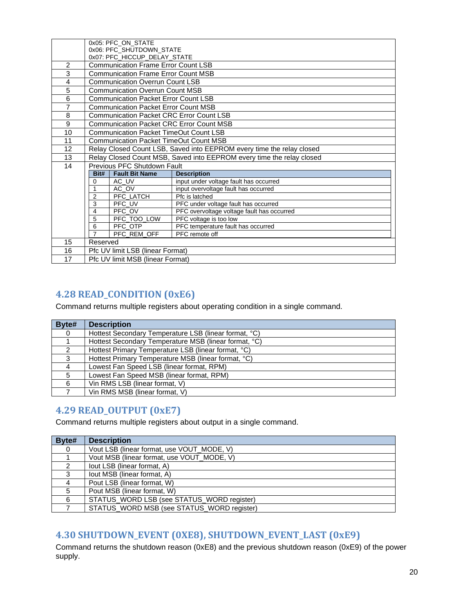|                | 0x05: PFC ON STATE                                        |                                                 |                                                                       |
|----------------|-----------------------------------------------------------|-------------------------------------------------|-----------------------------------------------------------------------|
|                |                                                           | 0x06: PFC SHUTDOWN STATE                        |                                                                       |
|                |                                                           | 0x07: PFC_HICCUP_DELAY_STATE                    |                                                                       |
| $\overline{2}$ |                                                           | <b>Communication Frame Error Count LSB</b>      |                                                                       |
| 3              |                                                           | <b>Communication Frame Error Count MSB</b>      |                                                                       |
| 4              |                                                           | <b>Communication Overrun Count LSB</b>          |                                                                       |
| 5              |                                                           | <b>Communication Overrun Count MSB</b>          |                                                                       |
| 6              |                                                           | <b>Communication Packet Error Count LSB</b>     |                                                                       |
| 7              |                                                           | <b>Communication Packet Error Count MSB</b>     |                                                                       |
| 8              |                                                           | <b>Communication Packet CRC Error Count LSB</b> |                                                                       |
| 9              |                                                           | <b>Communication Packet CRC Error Count MSB</b> |                                                                       |
| 10             |                                                           | Communication Packet TimeOut Count LSB          |                                                                       |
| 11             |                                                           | <b>Communication Packet TimeOut Count MSB</b>   |                                                                       |
| 12             |                                                           |                                                 | Relay Closed Count LSB, Saved into EEPROM every time the relay closed |
| 13             |                                                           |                                                 | Relay Closed Count MSB, Saved into EEPROM every time the relay closed |
| 14             |                                                           | Previous PFC Shutdown Fault                     |                                                                       |
|                | Bit#                                                      | <b>Fault Bit Name</b>                           | <b>Description</b>                                                    |
|                | 0                                                         | AC UV                                           | input under voltage fault has occurred                                |
|                | 1                                                         | AC OV                                           | input overvoltage fault has occurred                                  |
|                | 2                                                         | PFC_LATCH                                       | Pfc is latched                                                        |
|                | PFC UV<br>3<br>PFC under voltage fault has occurred       |                                                 |                                                                       |
|                | PFC OV<br>PFC overvoltage voltage fault has occurred<br>4 |                                                 |                                                                       |
|                | 5                                                         | PFC_TOO_LOW                                     | PFC voltage is too low                                                |
|                | 6                                                         | PFC OTP                                         | PFC temperature fault has occurred                                    |
|                | $\overline{7}$                                            | PFC_REM_OFF                                     | PFC remote off                                                        |
| 15             | Reserved                                                  |                                                 |                                                                       |
| 16             | Pfc UV limit LSB (linear Format)                          |                                                 |                                                                       |
| 17             | Pfc UV limit MSB (linear Format)                          |                                                 |                                                                       |

# <span id="page-19-0"></span>**4.28 READ\_CONDITION (0xE6)**

Command returns multiple registers about operating condition in a single command.

| Byte# | <b>Description</b>                                    |  |  |
|-------|-------------------------------------------------------|--|--|
| 0     | Hottest Secondary Temperature LSB (linear format, °C) |  |  |
|       | Hottest Secondary Temperature MSB (linear format, °C) |  |  |
|       | Hottest Primary Temperature LSB (linear format, °C)   |  |  |
| 3     | Hottest Primary Temperature MSB (linear format, °C)   |  |  |
| 4     | Lowest Fan Speed LSB (linear format, RPM)             |  |  |
| 5     | Lowest Fan Speed MSB (linear format, RPM)             |  |  |
| 6     | Vin RMS LSB (linear format, V)                        |  |  |
|       | Vin RMS MSB (linear format, V)                        |  |  |

# <span id="page-19-1"></span>**4.29 READ\_OUTPUT (0xE7)**

Command returns multiple registers about output in a single command.

| Byte# | <b>Description</b>                         |
|-------|--------------------------------------------|
|       | Vout LSB (linear format, use VOUT MODE, V) |
|       | Vout MSB (linear format, use VOUT MODE, V) |
|       | lout LSB (linear format, A)                |
| 3     | lout MSB (linear format, A)                |
|       | Pout LSB (linear format, W)                |
| 5     | Pout MSB (linear format, W)                |
| 6     | STATUS_WORD LSB (see STATUS_WORD register) |
|       | STATUS_WORD MSB (see STATUS_WORD register) |

# <span id="page-19-2"></span>**4.30 SHUTDOWN\_EVENT (0XE8), SHUTDOWN\_EVENT\_LAST (0xE9)**

Command returns the shutdown reason (0xE8) and the previous shutdown reason (0xE9) of the power supply.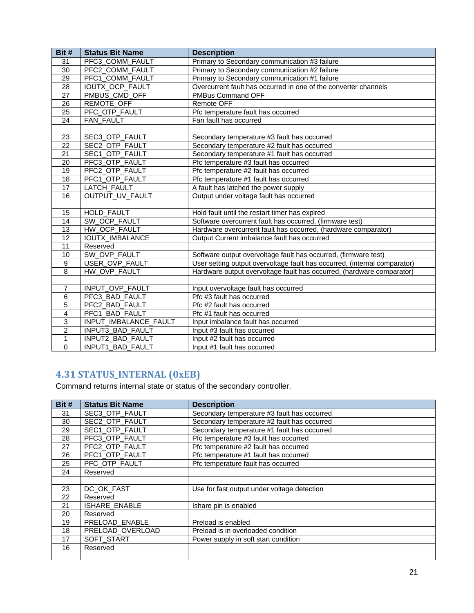| Bit #                   | <b>Status Bit Name</b>  | <b>Description</b>                                                        |  |  |  |
|-------------------------|-------------------------|---------------------------------------------------------------------------|--|--|--|
| 31                      | PFC3 COMM FAULT         | Primary to Secondary communication #3 failure                             |  |  |  |
| $\overline{30}$         | PFC2 COMM FAULT         | Primary to Secondary communication #2 failure                             |  |  |  |
| 29                      | PFC1_COMM_FAULT         | Primary to Secondary communication #1 failure                             |  |  |  |
| $\overline{28}$         | IOUTX_OCP_FAULT         | Overcurrent fault has occurred in one of the converter channels           |  |  |  |
| 27                      | PMBUS_CMD_OFF           | PMBus Command OFF                                                         |  |  |  |
| 26                      | REMOTE_OFF              | <b>Remote OFF</b>                                                         |  |  |  |
| $\overline{25}$         | PFC_OTP_FAULT           | Pfc temperature fault has occurred                                        |  |  |  |
| 24                      | FAN_FAULT               | Fan fault has occurred                                                    |  |  |  |
|                         |                         |                                                                           |  |  |  |
| 23                      | SEC3_OTP_FAULT          | Secondary temperature #3 fault has occurred                               |  |  |  |
| $\overline{22}$         | SEC2_OTP_FAULT          | Secondary temperature #2 fault has occurred                               |  |  |  |
| $\overline{21}$         | SEC1_OTP_FAULT          | Secondary temperature #1 fault has occurred                               |  |  |  |
| $\overline{20}$         | PFC3_OTP_FAULT          | Pfc temperature #3 fault has occurred                                     |  |  |  |
| $\overline{19}$         | PFC2_OTP_FAULT          | Pfc temperature #2 fault has occurred                                     |  |  |  |
| 18                      | PFC1_OTP_FAULT          | Pfc temperature #1 fault has occurred                                     |  |  |  |
| 17                      | LATCH_FAULT             | A fault has latched the power supply                                      |  |  |  |
| 16                      | OUTPUT_UV_FAULT         | Output under voltage fault has occurred                                   |  |  |  |
|                         |                         |                                                                           |  |  |  |
| 15                      | <b>HOLD FAULT</b>       | Hold fault until the restart timer has expired                            |  |  |  |
| 14                      | SW_OCP_FAULT            | Software overcurrent fault has occurred, (firmware test)                  |  |  |  |
| 13                      | HW_OCP_FAULT            | Hardware overcurrent fault has occurred, (hardware comparator)            |  |  |  |
| 12                      | <b>IOUTX_IMBALANCE</b>  | Output Current imbalance fault has occurred                               |  |  |  |
| $\overline{11}$         | Reserved                |                                                                           |  |  |  |
| 10                      | SW OVP FAULT            | Software output overvoltage fault has occurred, (firmware test)           |  |  |  |
| $\overline{9}$          | <b>USER OVP FAULT</b>   | User setting output overvoltage fault has occurred, (internal comparator) |  |  |  |
| 8                       | HW OVP_FAULT            | Hardware output overvoltage fault has occurred, (hardware comparator)     |  |  |  |
|                         |                         |                                                                           |  |  |  |
| $\overline{7}$          | INPUT_OVP_FAULT         | Input overvoltage fault has occurred                                      |  |  |  |
| 6                       | PFC3_BAD_FAULT          | Pfc #3 fault has occurred                                                 |  |  |  |
| $\overline{5}$          | PFC2_BAD_FAULT          | Pfc #2 fault has occurred                                                 |  |  |  |
| $\overline{\mathbf{A}}$ | PFC1_BAD_FAULT          | Pfc #1 fault has occurred                                                 |  |  |  |
| 3                       | INPUT_IMBALANCE_FAULT   | Input imbalance fault has occurred                                        |  |  |  |
| $\overline{2}$          | INPUT3_BAD_FAULT        | Input #3 fault has occurred                                               |  |  |  |
| 1                       | INPUT2_BAD_FAULT        | Input #2 fault has occurred                                               |  |  |  |
| $\Omega$                | <b>INPUT1 BAD FAULT</b> | Input #1 fault has occurred                                               |  |  |  |

# <span id="page-20-0"></span>**4.31 STATUS\_INTERNAL (0xEB)**

Command returns internal state or status of the secondary controller.

| Bit # | <b>Status Bit Name</b> | <b>Description</b>                          |  |  |  |  |
|-------|------------------------|---------------------------------------------|--|--|--|--|
| 31    | SEC3_OTP_FAULT         | Secondary temperature #3 fault has occurred |  |  |  |  |
| 30    | SEC2 OTP FAULT         | Secondary temperature #2 fault has occurred |  |  |  |  |
| 29    | SEC1_OTP_FAULT         | Secondary temperature #1 fault has occurred |  |  |  |  |
| 28    | PFC3_OTP_FAULT         | Pfc temperature #3 fault has occurred       |  |  |  |  |
| 27    | PFC2_OTP_FAULT         | Pfc temperature #2 fault has occurred       |  |  |  |  |
| 26    | PFC1_OTP_FAULT         | Pfc temperature #1 fault has occurred       |  |  |  |  |
| 25    | PFC_OTP_FAULT          | Pfc temperature fault has occurred          |  |  |  |  |
| 24    | Reserved               |                                             |  |  |  |  |
|       |                        |                                             |  |  |  |  |
| 23    | DC_OK_FAST             | Use for fast output under voltage detection |  |  |  |  |
| 22    | Reserved               |                                             |  |  |  |  |
| 21    | ISHARE_ENABLE          | Ishare pin is enabled                       |  |  |  |  |
| 20    | Reserved               |                                             |  |  |  |  |
| 19    | PRELOAD ENABLE         | Preload is enabled                          |  |  |  |  |
| 18    | PRELOAD_OVERLOAD       | Preload is in overloaded condition          |  |  |  |  |
| 17    | SOFT_START             | Power supply in soft start condition        |  |  |  |  |
| 16    | Reserved               |                                             |  |  |  |  |
|       |                        |                                             |  |  |  |  |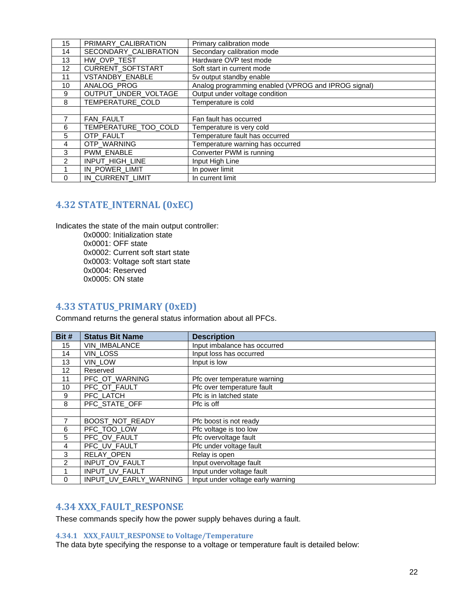| 15            | PRIMARY_CALIBRATION   | Primary calibration mode                            |
|---------------|-----------------------|-----------------------------------------------------|
| 14            | SECONDARY_CALIBRATION | Secondary calibration mode                          |
| 13            | HW_OVP_TEST           | Hardware OVP test mode                              |
| 12            | CURRENT_SOFTSTART     | Soft start in current mode                          |
| 11            | VSTANDBY_ENABLE       | 5v output standby enable                            |
| 10            | ANALOG_PROG           | Analog programming enabled (VPROG and IPROG signal) |
| 9             | OUTPUT_UNDER_VOLTAGE  | Output under voltage condition                      |
| 8             | TEMPERATURE COLD      | Temperature is cold                                 |
|               |                       |                                                     |
|               | <b>FAN FAULT</b>      | Fan fault has occurred                              |
| 6             | TEMPERATURE_TOO_COLD  | Temperature is very cold                            |
| 5             | OTP FAULT             | Temperature fault has occurred                      |
| 4             | OTP_WARNING           | Temperature warning has occurred                    |
| 3             | PWM_ENABLE            | Converter PWM is running                            |
| $\mathcal{P}$ | INPUT_HIGH_LINE       | Input High Line                                     |
|               | IN_POWER_LIMIT        | In power limit                                      |
| $\Omega$      | IN CURRENT LIMIT      | In current limit                                    |

# <span id="page-21-0"></span>**4.32 STATE\_INTERNAL (0xEC)**

Indicates the state of the main output controller: 0x0000: Initialization state 0x0001: OFF state 0x0002: Current soft start state 0x0003: Voltage soft start state 0x0004: Reserved 0x0005: ON state

### <span id="page-21-1"></span>**4.33 STATUS\_PRIMARY (0xED)**

Command returns the general status information about all PFCs.

| Bit #       | <b>Status Bit Name</b> | <b>Description</b>                |
|-------------|------------------------|-----------------------------------|
| 15          | VIN_IMBALANCE          | Input imbalance has occurred      |
| 14          | VIN_LOSS               | Input loss has occurred           |
| 13          | VIN_LOW                | Input is low                      |
| 12          | Reserved               |                                   |
| 11          | PFC_OT_WARNING         | Pfc over temperature warning      |
| 10          | PFC_OT_FAULT           | Pfc over temperature fault        |
| 9           | PFC_LATCH              | Pfc is in latched state           |
| 8           | PFC_STATE_OFF          | Pfc is off                        |
|             |                        |                                   |
|             | BOOST_NOT_READY        | Pfc boost is not ready            |
| 6           | PFC_TOO_LOW            | Pfc voltage is too low            |
| 5           | PFC_OV_FAULT           | Pfc overvoltage fault             |
| 4           | PFC_UV_FAULT           | Pfc under voltage fault           |
| 3           | RELAY_OPEN             | Relay is open                     |
| 2           | INPUT_OV_FAULT         | Input overvoltage fault           |
|             | INPUT_UV_FAULT         | Input under voltage fault         |
| $\mathbf 0$ | INPUT_UV_EARLY_WARNING | Input under voltage early warning |

# <span id="page-21-2"></span>**4.34 XXX\_FAULT\_RESPONSE**

These commands specify how the power supply behaves during a fault.

#### <span id="page-21-3"></span>**4.34.1 XXX\_FAULT\_RESPONSE to Voltage/Temperature**

The data byte specifying the response to a voltage or temperature fault is detailed below: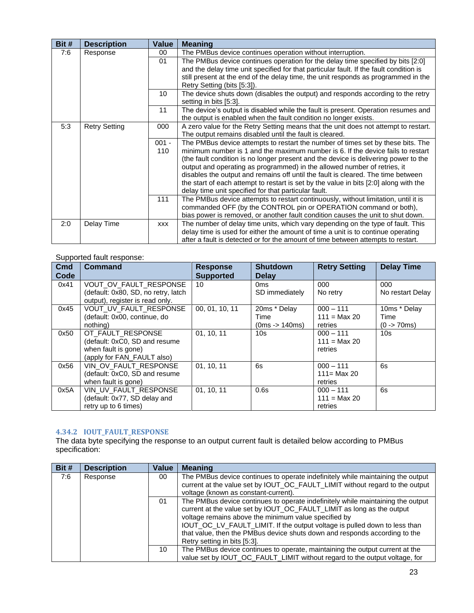| Bit # | <b>Description</b>   | <b>Value</b> | <b>Meaning</b>                                                                                                                                        |  |  |  |  |
|-------|----------------------|--------------|-------------------------------------------------------------------------------------------------------------------------------------------------------|--|--|--|--|
| 7:6   | Response             | 00           | The PMBus device continues operation without interruption.                                                                                            |  |  |  |  |
|       |                      | 01           | The PMBus device continues operation for the delay time specified by bits [2:0]                                                                       |  |  |  |  |
|       |                      |              | and the delay time unit specified for that particular fault. If the fault condition is                                                                |  |  |  |  |
|       |                      |              | still present at the end of the delay time, the unit responds as programmed in the                                                                    |  |  |  |  |
|       |                      |              | Retry Setting (bits [5:3]).                                                                                                                           |  |  |  |  |
|       |                      | 10           | The device shuts down (disables the output) and responds according to the retry<br>setting in bits [5:3].                                             |  |  |  |  |
|       |                      | 11           | The device's output is disabled while the fault is present. Operation resumes and<br>the output is enabled when the fault condition no longer exists. |  |  |  |  |
| 5:3   | <b>Retry Setting</b> | 000          | A zero value for the Retry Setting means that the unit does not attempt to restart.                                                                   |  |  |  |  |
|       |                      |              | The output remains disabled until the fault is cleared.                                                                                               |  |  |  |  |
|       |                      | $001 -$      | The PMBus device attempts to restart the number of times set by these bits. The                                                                       |  |  |  |  |
|       |                      | 110          | minimum number is 1 and the maximum number is 6. If the device fails to restart                                                                       |  |  |  |  |
|       |                      |              | (the fault condition is no longer present and the device is delivering power to the                                                                   |  |  |  |  |
|       |                      |              | output and operating as programmed) in the allowed number of retries, it                                                                              |  |  |  |  |
|       |                      |              | disables the output and remains off until the fault is cleared. The time between                                                                      |  |  |  |  |
|       |                      |              | the start of each attempt to restart is set by the value in bits [2:0] along with the                                                                 |  |  |  |  |
|       |                      |              | delay time unit specified for that particular fault.                                                                                                  |  |  |  |  |
|       |                      | 111          | The PMBus device attempts to restart continuously, without limitation, until it is                                                                    |  |  |  |  |
|       |                      |              | commanded OFF (by the CONTROL pin or OPERATION command or both),                                                                                      |  |  |  |  |
|       |                      |              | bias power is removed, or another fault condition causes the unit to shut down.                                                                       |  |  |  |  |
| 2:0   | Delay Time           | <b>XXX</b>   | The number of delay time units, which vary depending on the type of fault. This                                                                       |  |  |  |  |
|       |                      |              | delay time is used for either the amount of time a unit is to continue operating                                                                      |  |  |  |  |
|       |                      |              | after a fault is detected or for the amount of time between attempts to restart.                                                                      |  |  |  |  |

### Supported fault response:

| Cmd  | <b>Command</b>                      | <b>Response</b>  | <b>Shutdown</b> | <b>Retry Setting</b> | <b>Delay Time</b> |
|------|-------------------------------------|------------------|-----------------|----------------------|-------------------|
| Code |                                     | <b>Supported</b> | <b>Delay</b>    |                      |                   |
| 0x41 | VOUT_OV_FAULT_RESPONSE              | 10               | 0 <sub>ms</sub> | 000                  | 000               |
|      | (default: 0x80, SD, no retry, latch |                  | SD immediately  | No retry             | No restart Delay  |
|      | output), register is read only.     |                  |                 |                      |                   |
| 0x45 | VOUT_UV_FAULT_RESPONSE              | 00, 01, 10, 11   | 20ms * Delay    | $000 - 111$          | 10ms * Delay      |
|      | (default: 0x00, continue, do        |                  | Time            | $111 = Max 20$       | Time              |
|      | nothing)                            |                  | $(0ms - 140ms)$ | retries              | $(0 - 70$ ms)     |
| 0x50 | OT_FAULT_RESPONSE                   | 01, 10, 11       | 10 <sub>s</sub> | $000 - 111$          | 10 <sub>s</sub>   |
|      | (default: 0xC0, SD and resume       |                  |                 | $111 = Max 20$       |                   |
|      | when fault is gone)                 |                  |                 | retries              |                   |
|      | (apply for FAN_FAULT also)          |                  |                 |                      |                   |
| 0x56 | VIN OV FAULT RESPONSE               | 01, 10, 11       | 6s              | $000 - 111$          | 6s                |
|      | (default: 0xC0, SD and resume       |                  |                 | $111 = Max 20$       |                   |
|      | when fault is gone)                 |                  |                 | retries              |                   |
| 0x5A | VIN_UV_FAULT_RESPONSE               | 01, 10, 11       | 0.6s            | $000 - 111$          | 6s                |
|      | (default: 0x77, SD delay and        |                  |                 | $111 = Max 20$       |                   |
|      | retry up to 6 times)                |                  |                 | retries              |                   |

#### <span id="page-22-0"></span>**4.34.2 IOUT\_FAULT\_RESPONSE**

The data byte specifying the response to an output current fault is detailed below according to PMBus specification:

| Bit # | <b>Description</b> | Value | <b>Meaning</b>                                                                                                                                                                                                                                                                                                                                                                                              |
|-------|--------------------|-------|-------------------------------------------------------------------------------------------------------------------------------------------------------------------------------------------------------------------------------------------------------------------------------------------------------------------------------------------------------------------------------------------------------------|
| 7:6   | Response           | 00    | The PMBus device continues to operate indefinitely while maintaining the output<br>current at the value set by IOUT_OC_FAULT_LIMIT without regard to the output<br>voltage (known as constant-current).                                                                                                                                                                                                     |
|       |                    | 01    | The PMBus device continues to operate indefinitely while maintaining the output<br>current at the value set by IOUT_OC_FAULT_LIMIT as long as the output<br>voltage remains above the minimum value specified by<br>IOUT_OC_LV_FAULT_LIMIT. If the output voltage is pulled down to less than<br>that value, then the PMBus device shuts down and responds according to the<br>Retry setting in bits [5:3]. |
|       |                    | 10    | The PMBus device continues to operate, maintaining the output current at the<br>value set by IOUT_OC_FAULT_LIMIT without regard to the output voltage, for                                                                                                                                                                                                                                                  |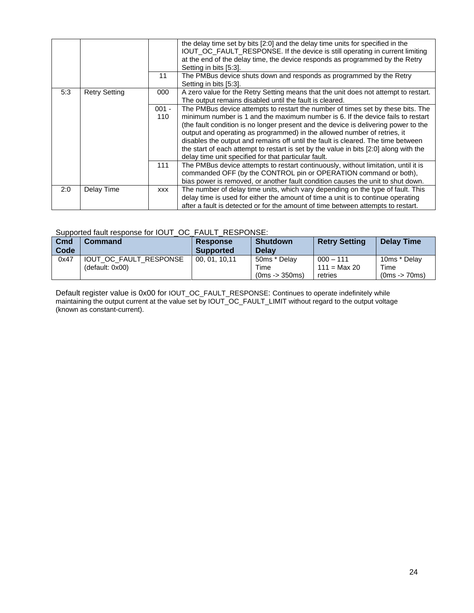|     |                      |                | the delay time set by bits [2:0] and the delay time units for specified in the<br>IOUT_OC_FAULT_RESPONSE. If the device is still operating in current limiting<br>at the end of the delay time, the device responds as programmed by the Retry<br>Setting in bits [5:3].                                                                                                                                                                                                                                                                                                   |
|-----|----------------------|----------------|----------------------------------------------------------------------------------------------------------------------------------------------------------------------------------------------------------------------------------------------------------------------------------------------------------------------------------------------------------------------------------------------------------------------------------------------------------------------------------------------------------------------------------------------------------------------------|
|     |                      | 11             | The PMBus device shuts down and responds as programmed by the Retry<br>Setting in bits [5:3].                                                                                                                                                                                                                                                                                                                                                                                                                                                                              |
| 5:3 | <b>Retry Setting</b> | 000            | A zero value for the Retry Setting means that the unit does not attempt to restart.<br>The output remains disabled until the fault is cleared.                                                                                                                                                                                                                                                                                                                                                                                                                             |
|     |                      | $001 -$<br>110 | The PMBus device attempts to restart the number of times set by these bits. The<br>minimum number is 1 and the maximum number is 6. If the device fails to restart<br>(the fault condition is no longer present and the device is delivering power to the<br>output and operating as programmed) in the allowed number of retries, it<br>disables the output and remains off until the fault is cleared. The time between<br>the start of each attempt to restart is set by the value in bits [2:0] along with the<br>delay time unit specified for that particular fault. |
|     |                      | 111            | The PMBus device attempts to restart continuously, without limitation, until it is<br>commanded OFF (by the CONTROL pin or OPERATION command or both),<br>bias power is removed, or another fault condition causes the unit to shut down.                                                                                                                                                                                                                                                                                                                                  |
| 2:0 | Delay Time           | <b>XXX</b>     | The number of delay time units, which vary depending on the type of fault. This<br>delay time is used for either the amount of time a unit is to continue operating<br>after a fault is detected or for the amount of time between attempts to restart.                                                                                                                                                                                                                                                                                                                    |

#### Supported fault response for IOUT\_OC\_FAULT\_RESPONSE:

| Cmd<br>Code | Command         |                        | <b>Response</b><br><b>Supported</b> | <b>Shutdown</b><br><b>Delay</b> | <b>Retry Setting</b>          | <b>Delay Time</b>    |
|-------------|-----------------|------------------------|-------------------------------------|---------------------------------|-------------------------------|----------------------|
| 0x47        | (default: 0x00) | IOUT OC FAULT RESPONSE | 00.01.10.11                         | 50ms * Delay<br>Time            | $000 - 111$<br>$111 = Max 20$ | 10ms * Delay<br>Time |
|             |                 |                        |                                     | $(0ms - 350ms)$                 | retries                       | $(0ms - 70ms)$       |

Default register value is 0x00 for IOUT\_OC\_FAULT\_RESPONSE: Continues to operate indefinitely while maintaining the output current at the value set by IOUT\_OC\_FAULT\_LIMIT without regard to the output voltage (known as constant-current).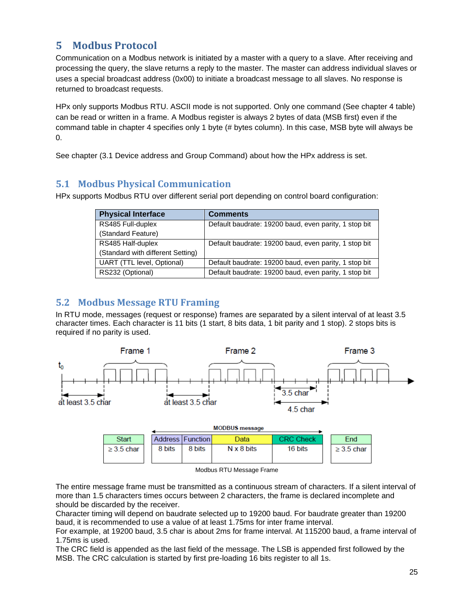# <span id="page-24-0"></span>**5 Modbus Protocol**

Communication on a Modbus network is initiated by a master with a query to a slave. After receiving and processing the query, the slave returns a reply to the master. The master can address individual slaves or uses a special broadcast address (0x00) to initiate a broadcast message to all slaves. No response is returned to broadcast requests.

HPx only supports Modbus RTU. ASCII mode is not supported. Only one command (See chapter 4 table) can be read or written in a frame. A Modbus register is always 2 bytes of data (MSB first) even if the command table in chapter 4 specifies only 1 byte (# bytes column). In this case, MSB byte will always be 0.

See chapter (3.1 Device address and Group Command) about how the HPx address is set.

# <span id="page-24-1"></span>**5.1 Modbus Physical Communication**

HPx supports Modbus RTU over different serial port depending on control board configuration:

| <b>Physical Interface</b>         | <b>Comments</b>                                       |  |  |
|-----------------------------------|-------------------------------------------------------|--|--|
| RS485 Full-duplex                 | Default baudrate: 19200 baud, even parity, 1 stop bit |  |  |
| (Standard Feature)                |                                                       |  |  |
| RS485 Half-duplex                 | Default baudrate: 19200 baud, even parity, 1 stop bit |  |  |
| (Standard with different Setting) |                                                       |  |  |
| UART (TTL level, Optional)        | Default baudrate: 19200 baud, even parity, 1 stop bit |  |  |
| RS232 (Optional)                  | Default baudrate: 19200 baud, even parity, 1 stop bit |  |  |

# <span id="page-24-2"></span>**5.2 Modbus Message RTU Framing**

In RTU mode, messages (request or response) frames are separated by a silent interval of at least 3.5 character times. Each character is 11 bits (1 start, 8 bits data, 1 bit parity and 1 stop). 2 stops bits is required if no parity is used.



| Start           |        | Address Function | Data              | <b>CRC Check</b> | End             |
|-----------------|--------|------------------|-------------------|------------------|-----------------|
| $\geq$ 3.5 char | 8 bits | 8 bits           | $N \times 8$ bits | 16 bits          | $\geq$ 3.5 char |

Modbus RTU Message Frame

The entire message frame must be transmitted as a continuous stream of characters. If a silent interval of more than 1.5 characters times occurs between 2 characters, the frame is declared incomplete and should be discarded by the receiver.

Character timing will depend on baudrate selected up to 19200 baud. For baudrate greater than 19200 baud, it is recommended to use a value of at least 1.75ms for inter frame interval.

For example, at 19200 baud, 3.5 char is about 2ms for frame interval. At 115200 baud, a frame interval of 1.75ms is used.

The CRC field is appended as the last field of the message. The LSB is appended first followed by the MSB. The CRC calculation is started by first pre-loading 16 bits register to all 1s.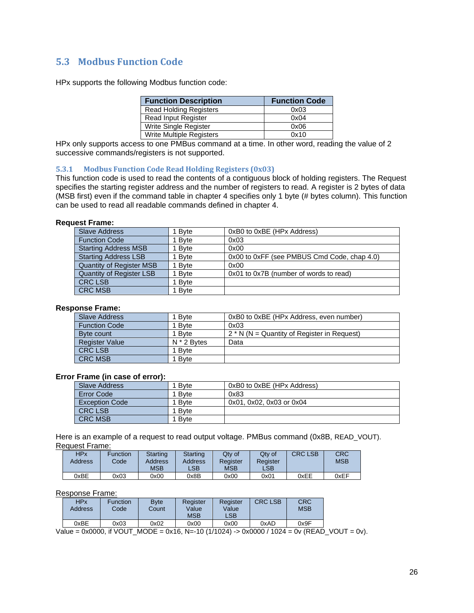# <span id="page-25-0"></span>**5.3 Modbus Function Code**

HPx supports the following Modbus function code:

| <b>Function Description</b>   | <b>Function Code</b> |
|-------------------------------|----------------------|
| <b>Read Holding Registers</b> | 0x03                 |
| <b>Read Input Register</b>    | 0x04                 |
| Write Single Register         | 0x06                 |
| Write Multiple Registers      | 0x10                 |

HPx only supports access to one PMBus command at a time. In other word, reading the value of 2 successive commands/registers is not supported.

#### <span id="page-25-1"></span>**5.3.1 Modbus Function Code Read Holding Registers (0x03)**

This function code is used to read the contents of a contiguous block of holding registers. The Request specifies the starting register address and the number of registers to read. A register is 2 bytes of data (MSB first) even if the command table in chapter 4 specifies only 1 byte (# bytes column). This function can be used to read all readable commands defined in chapter 4.

#### **Request Frame:**

| <b>Slave Address</b>            | 1 Byte | 0xB0 to 0xBE (HPx Address)                  |
|---------------------------------|--------|---------------------------------------------|
| <b>Function Code</b>            | 1 Byte | 0x03                                        |
| <b>Starting Address MSB</b>     | 1 Byte | 0x00                                        |
| <b>Starting Address LSB</b>     | 1 Byte | 0x00 to 0xFF (see PMBUS Cmd Code, chap 4.0) |
| <b>Quantity of Register MSB</b> | 1 Byte | 0x00                                        |
| Quantity of Register LSB        | 1 Byte | 0x01 to 0x7B (number of words to read)      |
| <b>CRC LSB</b>                  | 1 Bvte |                                             |
| <b>CRC MSB</b>                  | 1 Byte |                                             |

#### **Response Frame:**

| Slave Address         | ∣ B∨te        | 0xB0 to 0xBE (HPx Address, even number)       |  |  |  |
|-----------------------|---------------|-----------------------------------------------|--|--|--|
| <b>Function Code</b>  | l Bvte        | 0x03                                          |  |  |  |
| Byte count            | 1 Byte        | $2 * N (N =$ Quantity of Register in Request) |  |  |  |
| <b>Register Value</b> | $N * 2$ Bytes | Data                                          |  |  |  |
| <b>CRC LSB</b>        | 1 Bvte        |                                               |  |  |  |
| <b>CRC MSB</b>        | Bvte          |                                               |  |  |  |

#### **Error Frame (in case of error):**

| Slave Address         | <b>B</b> vte | 0xB0 to 0xBE (HPx Address) |
|-----------------------|--------------|----------------------------|
| Error Code            | <b>B</b> vte | 0x83                       |
| <b>Exception Code</b> | <b>B</b> vte | 0x01, 0x02, 0x03 or 0x04   |
| <b>CRC LSB</b>        | <b>B</b> vte |                            |
| <b>CRC MSB</b>        | <b>B</b> vte |                            |

Here is an example of a request to read output voltage. PMBus command (0x8B, READ\_VOUT). Request Frame:

| HPx            | Function | Starting   | Starting | Qty of     | Qtv of         | <b>CRC LSB</b> | CRC        |
|----------------|----------|------------|----------|------------|----------------|----------------|------------|
| <b>Address</b> | Code     | Address    | Address  | Register   | Register       |                | <b>MSB</b> |
|                |          | <b>MSB</b> | LSB      | <b>MSB</b> | $\mathsf{LSB}$ |                |            |
| 0xBE           | 0x03     | 0x00       | 0x8B     | 0x00       | 0x01           | 0xEE           | 0xEF       |

#### Response Frame:

| HPx<br>Address | Function<br>Code | <b>B</b> vte<br>Count | Register<br>Value<br><b>MSB</b> | Register<br>Value<br>LSB | <b>CRC LSB</b> | <b>CRC</b><br><b>MSB</b> |
|----------------|------------------|-----------------------|---------------------------------|--------------------------|----------------|--------------------------|
| 0xBE           | 0x03             | 0x02                  | 0x00                            | 0x00                     | 0xAD           | 0x9F                     |

Value = 0x0000, if VOUT\_MODE = 0x16, N=-10 (1/1024) -> 0x0000 / 1024 = 0v (READ\_VOUT = 0v).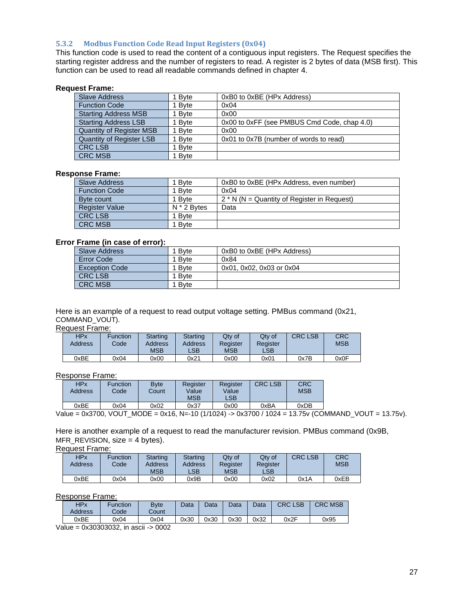#### <span id="page-26-0"></span>**5.3.2 Modbus Function Code Read Input Registers (0x04)**

This function code is used to read the content of a contiguous input registers. The Request specifies the starting register address and the number of registers to read. A register is 2 bytes of data (MSB first). This function can be used to read all readable commands defined in chapter 4.

#### **Request Frame:**

| <b>Slave Address</b>            | 1 Byte       | 0xB0 to 0xBE (HPx Address)                  |
|---------------------------------|--------------|---------------------------------------------|
| <b>Function Code</b>            | 1 Byte       | 0x04                                        |
| <b>Starting Address MSB</b>     | 1 Byte       | 0x00                                        |
| <b>Starting Address LSB</b>     | 1 Byte       | 0x00 to 0xFF (see PMBUS Cmd Code, chap 4.0) |
| <b>Quantity of Register MSB</b> | 1 Byte       | 0x00                                        |
| Quantity of Register LSB        | 1 Byte       | 0x01 to 0x7B (number of words to read)      |
| <b>CRC LSB</b>                  | <b>B</b> vte |                                             |
| <b>CRC MSB</b>                  | 1 Byte       |                                             |

#### **Response Frame:**

| Slave Address         | 1 Bvte        | 0xB0 to 0xBE (HPx Address, even number)       |
|-----------------------|---------------|-----------------------------------------------|
| <b>Function Code</b>  | 1 Byte        | 0x04                                          |
| Byte count            | 1 Bvte        | $2 * N (N =$ Quantity of Register in Request) |
| <b>Register Value</b> | $N * 2$ Bytes | Data                                          |
| <b>CRC LSB</b>        | 1 Byte        |                                               |
| <b>CRC MSB</b>        | 1 Bvte        |                                               |

#### **Error Frame (in case of error):**

| Slave Address         | 1 Bvte       | 0xB0 to 0xBE (HPx Address) |
|-----------------------|--------------|----------------------------|
| Error Code            | 1 Bvte       | 0x84                       |
| <b>Exception Code</b> | 1 Byte       | 0x01, 0x02, 0x03 or 0x04   |
| <b>CRC LSB</b>        | <b>B</b> vte |                            |
| <b>CRC MSB</b>        | <b>B</b> vte |                            |

Here is an example of a request to read output voltage setting. PMBus command (0x21, COMMAND\_VOUT).

#### Request Frame:

| <b>HPx</b><br><b>Address</b> | Function<br>Codel | Starting<br>Address<br><b>MSB</b> | <b>Starting</b><br>Address<br>LSB | Qtv of<br>Register<br><b>MSB</b> | Qtv of<br>Register<br>$\mathsf{LSB}$ | <b>CRC LSB</b> | <b>CRC</b><br><b>MSB</b> |
|------------------------------|-------------------|-----------------------------------|-----------------------------------|----------------------------------|--------------------------------------|----------------|--------------------------|
|                              |                   |                                   |                                   |                                  |                                      |                |                          |
| 0xBE                         | 0x04              | 0x00                              | 0x21                              | 0x00                             | 0x01                                 | 0x7B           | 0x0F                     |

#### Response Frame:

| HPx<br><b>Address</b> | Function<br>Codel | <b>B</b> vte<br>Count | Register<br>Value<br><b>MSB</b> | Register<br>Value<br>LSB | <b>CRC LSB</b> | <b>CRC</b><br><b>MSB</b> |
|-----------------------|-------------------|-----------------------|---------------------------------|--------------------------|----------------|--------------------------|
| 0xBE                  | 0x04              | 0x02                  | 0x37                            | 0x00                     | 0xBA           | 0xDB                     |

Value = 0x3700, VOUT\_MODE = 0x16, N=-10 (1/1024) -> 0x3700 / 1024 = 13.75v (COMMAND\_VOUT = 13.75v).

Here is another example of a request to read the manufacturer revision. PMBus command (0x9B, MFR\_REVISION, size = 4 bytes).

Request Frame:

| <b>HPx</b>     | <b>Function</b> | Starting       | Starting | Qty of     | Qtv of         | <b>CRC LSB</b> | <b>CRC</b> |
|----------------|-----------------|----------------|----------|------------|----------------|----------------|------------|
| <b>Address</b> | Code            | <b>Address</b> | Address  | Register   | Register       |                | <b>MSB</b> |
|                |                 | <b>MSB</b>     | LSB      | <b>MSB</b> | $\mathsf{LSB}$ |                |            |
| 0xBE           | 0x04            | 0x00           | 0x9B     | 0x00       | 0x02           | 0x1A           | 0xEB       |

#### Response Frame:

| HPx<br>Address | <b>Function</b><br>Code | <b>Byte</b><br>Count | Data | Data | Data | Data | <b>CRC LSB</b> | <b>CRC MSB</b> |
|----------------|-------------------------|----------------------|------|------|------|------|----------------|----------------|
| 0xBE           | 0x04                    | 0x04                 | 0x30 | 0x30 | 0x30 | 0x32 | 0x2F           | 0x95           |

Value = 0x30303032, in ascii -> 0002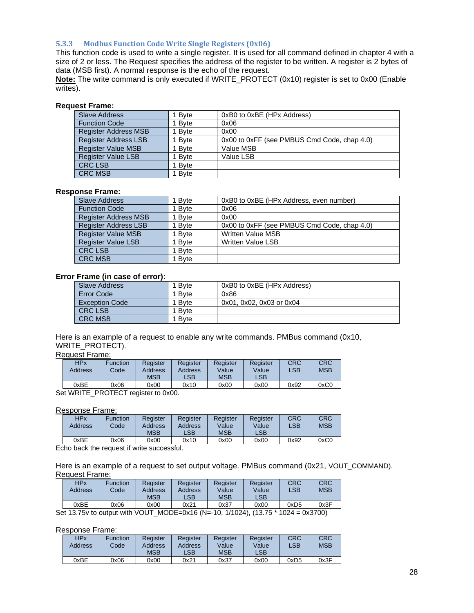#### <span id="page-27-0"></span>**5.3.3 Modbus Function Code Write Single Registers (0x06)**

This function code is used to write a single register. It is used for all command defined in chapter 4 with a size of 2 or less. The Request specifies the address of the register to be written. A register is 2 bytes of data (MSB first). A normal response is the echo of the request.

**Note:** The write command is only executed if WRITE\_PROTECT (0x10) register is set to 0x00 (Enable writes).

#### **Request Frame:**

| <b>Slave Address</b>        | 1 Bvte | 0xB0 to 0xBE (HPx Address)                  |
|-----------------------------|--------|---------------------------------------------|
| <b>Function Code</b>        | 1 Byte | 0x06                                        |
| <b>Register Address MSB</b> | 1 Byte | 0x00                                        |
| <b>Register Address LSB</b> | 1 Byte | 0x00 to 0xFF (see PMBUS Cmd Code, chap 4.0) |
| <b>Register Value MSB</b>   | 1 Byte | Value MSB                                   |
| <b>Register Value LSB</b>   | 1 Byte | Value LSB                                   |
| <b>CRC LSB</b>              | 1 Byte |                                             |
| <b>CRC MSB</b>              | 1 Byte |                                             |

#### **Response Frame:**

| <b>Slave Address</b>        | 1 Byte | 0xB0 to 0xBE (HPx Address, even number)     |
|-----------------------------|--------|---------------------------------------------|
| <b>Function Code</b>        | 1 Byte | 0x06                                        |
| Register Address MSB        | 1 Byte | 0x00                                        |
| <b>Register Address LSB</b> | 1 Byte | 0x00 to 0xFF (see PMBUS Cmd Code, chap 4.0) |
| <b>Register Value MSB</b>   | 1 Byte | <b>Written Value MSB</b>                    |
| <b>Register Value LSB</b>   | 1 Byte | <b>Written Value LSB</b>                    |
| <b>CRC LSB</b>              | 1 Byte |                                             |
| <b>CRC MSB</b>              | 1 Byte |                                             |

#### **Error Frame (in case of error):**

| Slave Address         | <b>B</b> vte | 0xB0 to 0xBE (HPx Address) |
|-----------------------|--------------|----------------------------|
| Error Code            | <b>B</b> vte | 0x86                       |
| <b>Exception Code</b> | <b>B</b> vte | 0x01, 0x02, 0x03 or 0x04   |
| <b>CRC LSB</b>        | <b>B</b> vte |                            |
| <b>CRC MSB</b>        | <b>B</b> vte |                            |

Here is an example of a request to enable any write commands. PMBus command (0x10, WRITE\_PROTECT).

#### Request Frame:

| <b>HPx</b><br>Address | Function<br>Code | Reaister<br>Address<br><b>MSB</b> | Register<br>Address<br>LSB | Reaister<br>Value<br><b>MSB</b> | Register<br>Value<br>_SB | CRC<br>LSB | CRC<br><b>MSB</b> |
|-----------------------|------------------|-----------------------------------|----------------------------|---------------------------------|--------------------------|------------|-------------------|
| 0xBE                  | 0x06             | 0x00                              | 0x10                       | 0x00                            | 0x00                     | 0x92       | 0xC0              |

Set WRITE\_PROTECT register to 0x00.

#### Response Frame:

| <b>HPx</b><br>Address | Function<br>Codel | Register<br>Address<br>MSB | Register<br>Address<br>LSB | Register<br>Value<br><b>MSB</b> | Register<br>Value<br>LSB | <b>CRC</b><br>LSB | CRC<br><b>MSB</b> |
|-----------------------|-------------------|----------------------------|----------------------------|---------------------------------|--------------------------|-------------------|-------------------|
| 0xBE                  | 0x06              | 0x00                       | 0x10                       | 0x00                            | 0x00                     | 0x92              | 0xC0              |

Echo back the request if write successful.

Here is an example of a request to set output voltage. PMBus command (0x21, VOUT\_COMMAND). Request Frame:

| <b>HPx</b><br>Address                                                                                                                                                               | Function<br>Codel | Register<br>Address<br>MSB | Register<br>Address<br>LSB | Reaister<br>Value<br><b>MSB</b> | Register<br>Value<br>LSB | CRC<br>LSB | CRC<br><b>MSB</b> |  |  |  |
|-------------------------------------------------------------------------------------------------------------------------------------------------------------------------------------|-------------------|----------------------------|----------------------------|---------------------------------|--------------------------|------------|-------------------|--|--|--|
| 0xBE                                                                                                                                                                                | 0x06              | 0x00                       | 0x21                       | 0x37                            | 0x00                     | 0xD5       | 0x3F              |  |  |  |
| $M$ $\cap$ $E$ $\cap$ $\vee$ $4$ $\varepsilon$ $\wedge$ $l$ $\cap$ $4$ $\cap$<br>$:$ of 12.75 $\cup$ to output with $\setminus$ / $\cap$ IT:<br>1/1021<br>$(12.75 * 1021 - 0.2700)$ |                   |                            |                            |                                 |                          |            |                   |  |  |  |

Set 13.75v to output with VOUT\_MODE=0x16 (N=-10, 1/1024), (13.75 \* 1024 = 0x3700)

#### Response Frame:

| HPx<br>Address | Function<br>Code | Register<br>Address<br><b>MSB</b> | Register<br>Address<br>$\mathsf{LSB}$ | Reaister<br>Value<br><b>MSB</b> | Register<br>Value<br>$\mathsf{LSB}$ | <b>CRC</b><br>LSB | <b>CRC</b><br><b>MSB</b> |
|----------------|------------------|-----------------------------------|---------------------------------------|---------------------------------|-------------------------------------|-------------------|--------------------------|
| 0xBE           | 0x06             | 0x00                              | 0x21                                  | 0x37                            | 0x00                                | 0xD5              | 0x3F                     |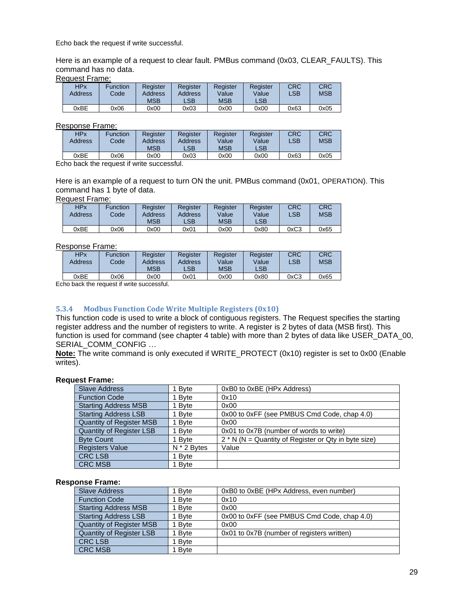Echo back the request if write successful.

Here is an example of a request to clear fault. PMBus command (0x03, CLEAR\_FAULTS). This command has no data.

Request Frame:

| <b>HPx</b><br>Address | Function<br>Code | Register<br>Address<br>MSB | Register<br>Address<br>LSB | Register<br>Value<br><b>MSB</b> | Register<br>Value<br>LSB <sup>1</sup> | CRC<br>LSB | <b>CRC</b><br><b>MSB</b> |
|-----------------------|------------------|----------------------------|----------------------------|---------------------------------|---------------------------------------|------------|--------------------------|
| 0xBE                  | 0x06             | 0x00                       | 0x03                       | 0x00                            | 0x00                                  | 0x63       | 0x05                     |

#### Response Frame:

| <b>HPx</b><br>Address | Function<br>Code | Register<br>Address<br><b>MSB</b> | Register<br>Address<br>LSB | Reaister<br>Value<br><b>MSB</b> | Register<br>Value<br>$\mathsf{LSB}$ | <b>CRC</b><br>LSB | <b>CRC</b><br><b>MSB</b> |
|-----------------------|------------------|-----------------------------------|----------------------------|---------------------------------|-------------------------------------|-------------------|--------------------------|
| 0xBE                  | 0x06             | 0x00                              | 0x03                       | 0x00                            | 0x00                                | 0x63              | 0x05                     |

Echo back the request if write successful.

Here is an example of a request to turn ON the unit. PMBus command (0x01, OPERATION). This command has 1 byte of data.

#### Request Frame:

| <b>HPx</b><br>Address | Function<br>Codel | Register<br>Address<br>MSB | Register<br>Address<br>LSB | Register<br>Value<br><b>MSB</b> | Register<br>Value<br><b>LSB</b> | <b>CRC</b><br>LSB | <b>CRC</b><br><b>MSB</b> |
|-----------------------|-------------------|----------------------------|----------------------------|---------------------------------|---------------------------------|-------------------|--------------------------|
| ገxBE                  | 0x06              | 0x00                       | 0x01                       | 0x00                            | 0x80                            | 0xC3              | 0x65                     |

#### Response Frame:

| <b>HPx</b> | Function | Reaister   | Register | Register   | Register       | CRC        | CRC        |
|------------|----------|------------|----------|------------|----------------|------------|------------|
| Address    | Code     | Address    | Address  | Value      | Value          | <b>LSB</b> | <b>MSB</b> |
|            |          | <b>MSB</b> | LSB.     | <b>MSB</b> | $\mathsf{LSB}$ |            |            |
| 0xBE       | 0x06     | 0x00       | 0x01     | 0x00       | 0x80           | 0xC3       | 0x65       |

Echo back the request if write successful.

#### <span id="page-28-0"></span>**5.3.4 Modbus Function Code Write Multiple Registers (0x10)**

This function code is used to write a block of contiguous registers. The Request specifies the starting register address and the number of registers to write. A register is 2 bytes of data (MSB first). This function is used for command (see chapter 4 table) with more than 2 bytes of data like USER\_DATA\_00, SERIAL\_COMM\_CONFIG …

**Note:** The write command is only executed if WRITE\_PROTECT (0x10) register is set to 0x00 (Enable writes).

#### **Request Frame:**

| <b>Slave Address</b>            | 1 Byte        | 0xB0 to 0xBE (HPx Address)                             |
|---------------------------------|---------------|--------------------------------------------------------|
| <b>Function Code</b>            | 1 Byte        | 0x10                                                   |
| <b>Starting Address MSB</b>     | 1 Byte        | 0x00                                                   |
| <b>Starting Address LSB</b>     | 1 Byte        | 0x00 to 0xFF (see PMBUS Cmd Code, chap 4.0)            |
| <b>Quantity of Register MSB</b> | 1 Byte        | 0x00                                                   |
| Quantity of Register LSB        | 1 Byte        | 0x01 to 0x7B (number of words to write)                |
| <b>Byte Count</b>               | 1 Byte        | $2 * N$ (N = Quantity of Register or Qty in byte size) |
| <b>Registers Value</b>          | $N * 2$ Bytes | Value                                                  |
| <b>CRC LSB</b>                  | 1 Byte        |                                                        |
| <b>CRC MSB</b>                  | 1 Byte        |                                                        |

#### **Response Frame:**

| <b>Slave Address</b>            | 1 Byte | 0xB0 to 0xBE (HPx Address, even number)     |
|---------------------------------|--------|---------------------------------------------|
| <b>Function Code</b>            | 1 Byte | 0x10                                        |
| <b>Starting Address MSB</b>     | 1 Byte | 0x00                                        |
| <b>Starting Address LSB</b>     | 1 Byte | 0x00 to 0xFF (see PMBUS Cmd Code, chap 4.0) |
| <b>Quantity of Register MSB</b> | 1 Byte | 0x00                                        |
| Quantity of Register LSB        | 1 Byte | 0x01 to 0x7B (number of registers written)  |
| <b>CRC LSB</b>                  | 1 Byte |                                             |
| <b>CRC MSB</b>                  | 1 Byte |                                             |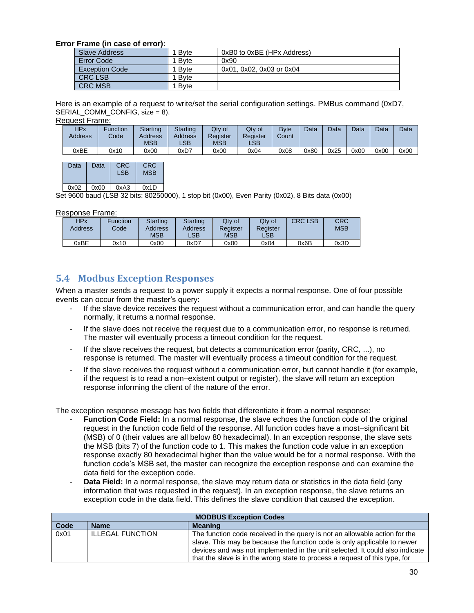#### **Error Frame (in case of error):**

| Slave Address         | 1 Bvte | 0xB0 to 0xBE (HPx Address) |
|-----------------------|--------|----------------------------|
| Error Code            | 1 Byte | 0x90                       |
| <b>Exception Code</b> | 1 Byte | 0x01, 0x02, 0x03 or 0x04   |
| <b>CRC LSB</b>        | 1 Byte |                            |
| <b>CRC MSB</b>        | 1 Byte |                            |

Here is an example of a request to write/set the serial configuration settings. PMBus command (0xD7, SERIAL COMM CONFIG,  $size = 8$ ).

Request Frame:

| <b>HPx</b><br><b>Address</b> | Function<br>Code | Starting<br>Address<br>MSB | Starting<br>Address<br>LSB | Qty of<br>Register<br>MSB | Qty of<br>Register<br>LSB | <b>B</b> vte<br>Count | Data | Data | Data | Data | Data |
|------------------------------|------------------|----------------------------|----------------------------|---------------------------|---------------------------|-----------------------|------|------|------|------|------|
| 0xBE                         | 0x10             | 0x00                       | 0xD7                       | 0x00                      | 0x04                      | 0x08                  | 0x80 | 0x25 | 0x00 | 0x00 | 0x00 |

| Data | Data | <b>CRC</b><br>I SB | CRC<br><b>MSB</b> |
|------|------|--------------------|-------------------|
| 0x02 | 0x00 | 0xA3               | 0x1D              |

Set 9600 baud (LSB 32 bits: 80250000), 1 stop bit (0x00), Even Parity (0x02), 8 Bits data (0x00)

Response Frame:

| <b>HPx</b><br>Address | Function<br>Code | Starting<br>Address<br><b>MSB</b> | Starting<br>Address<br>LSB | Qtv of<br>Reaister<br><b>MSB</b> | Qtv of<br>Register<br>$\mathsf{LSB}$ | <b>CRC LSB</b> | <b>CRC</b><br><b>MSB</b> |
|-----------------------|------------------|-----------------------------------|----------------------------|----------------------------------|--------------------------------------|----------------|--------------------------|
| 0xBE                  | 0x10             | 0x00                              | 0xD7                       | 0x00                             | 0x04                                 | 0x6B           | 0x3D                     |

# <span id="page-29-0"></span>**5.4 Modbus Exception Responses**

When a master sends a request to a power supply it expects a normal response. One of four possible events can occur from the master's query:

- If the slave device receives the request without a communication error, and can handle the query normally, it returns a normal response.
- If the slave does not receive the request due to a communication error, no response is returned. The master will eventually process a timeout condition for the request.
- If the slave receives the request, but detects a communication error (parity, CRC, ...), no response is returned. The master will eventually process a timeout condition for the request.
- If the slave receives the request without a communication error, but cannot handle it (for example, if the request is to read a non–existent output or register), the slave will return an exception response informing the client of the nature of the error.

The exception response message has two fields that differentiate it from a normal response:

- **Function Code Field:** In a normal response, the slave echoes the function code of the original request in the function code field of the response. All function codes have a most–significant bit (MSB) of 0 (their values are all below 80 hexadecimal). In an exception response, the slave sets the MSB (bits 7) of the function code to 1. This makes the function code value in an exception response exactly 80 hexadecimal higher than the value would be for a normal response. With the function code's MSB set, the master can recognize the exception response and can examine the data field for the exception code.
- **Data Field:** In a normal response, the slave may return data or statistics in the data field (any information that was requested in the request). In an exception response, the slave returns an exception code in the data field. This defines the slave condition that caused the exception.

|      | <b>MODBUS Exception Codes</b> |                                                                                                                                                                                                                                                                                                                       |  |  |  |
|------|-------------------------------|-----------------------------------------------------------------------------------------------------------------------------------------------------------------------------------------------------------------------------------------------------------------------------------------------------------------------|--|--|--|
| Code | <b>Name</b>                   | <b>Meaning</b>                                                                                                                                                                                                                                                                                                        |  |  |  |
| 0x01 | <b>ILLEGAL FUNCTION</b>       | The function code received in the query is not an allowable action for the<br>slave. This may be because the function code is only applicable to newer<br>devices and was not implemented in the unit selected. It could also indicate<br>that the slave is in the wrong state to process a request of this type, for |  |  |  |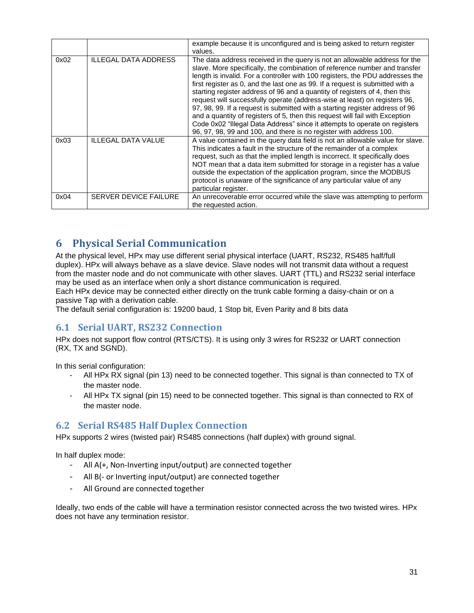|      |                             | example because it is unconfigured and is being asked to return register<br>values.                                                                                                                                                                                                                                                                                                                                                                                                                                                                                                                                                                                                                                                                                                                         |
|------|-----------------------------|-------------------------------------------------------------------------------------------------------------------------------------------------------------------------------------------------------------------------------------------------------------------------------------------------------------------------------------------------------------------------------------------------------------------------------------------------------------------------------------------------------------------------------------------------------------------------------------------------------------------------------------------------------------------------------------------------------------------------------------------------------------------------------------------------------------|
| 0x02 | <b>ILLEGAL DATA ADDRESS</b> | The data address received in the query is not an allowable address for the<br>slave. More specifically, the combination of reference number and transfer<br>length is invalid. For a controller with 100 registers, the PDU addresses the<br>first register as 0, and the last one as 99. If a request is submitted with a<br>starting register address of 96 and a quantity of registers of 4, then this<br>request will successfully operate (address-wise at least) on registers 96,<br>97, 98, 99. If a request is submitted with a starting register address of 96<br>and a quantity of registers of 5, then this request will fail with Exception<br>Code 0x02 "Illegal Data Address" since it attempts to operate on registers<br>96, 97, 98, 99 and 100, and there is no register with address 100. |
| 0x03 | <b>ILLEGAL DATA VALUE</b>   | A value contained in the query data field is not an allowable value for slave.<br>This indicates a fault in the structure of the remainder of a complex<br>request, such as that the implied length is incorrect. It specifically does<br>NOT mean that a data item submitted for storage in a register has a value<br>outside the expectation of the application program, since the MODBUS<br>protocol is unaware of the significance of any particular value of any<br>particular register.                                                                                                                                                                                                                                                                                                               |
| 0x04 | SERVER DEVICE FAILURE       | An unrecoverable error occurred while the slave was attempting to perform<br>the requested action.                                                                                                                                                                                                                                                                                                                                                                                                                                                                                                                                                                                                                                                                                                          |

# <span id="page-30-0"></span>**6 Physical Serial Communication**

At the physical level, HPx may use different serial physical interface (UART, RS232, RS485 half/full duplex). HPx will always behave as a slave device. Slave nodes will not transmit data without a request from the master node and do not communicate with other slaves. UART (TTL) and RS232 serial interface may be used as an interface when only a short distance communication is required.

Each HPx device may be connected either directly on the trunk cable forming a daisy-chain or on a passive Tap with a derivation cable.

The default serial configuration is: 19200 baud, 1 Stop bit, Even Parity and 8 bits data

# <span id="page-30-1"></span>**6.1 Serial UART, RS232 Connection**

HPx does not support flow control (RTS/CTS). It is using only 3 wires for RS232 or UART connection (RX, TX and SGND).

In this serial configuration:

- All HPx RX signal (pin 13) need to be connected together. This signal is than connected to TX of the master node.
- All HPx TX signal (pin 15) need to be connected together. This signal is than connected to RX of the master node.

# <span id="page-30-2"></span>**6.2 Serial RS485 Half Duplex Connection**

HPx supports 2 wires (twisted pair) RS485 connections (half duplex) with ground signal.

In half duplex mode:

- All A(+, Non-Inverting input/output) are connected together
- All B(- or Inverting input/output) are connected together
- All Ground are connected together

Ideally, two ends of the cable will have a termination resistor connected across the two twisted wires. HPx does not have any termination resistor.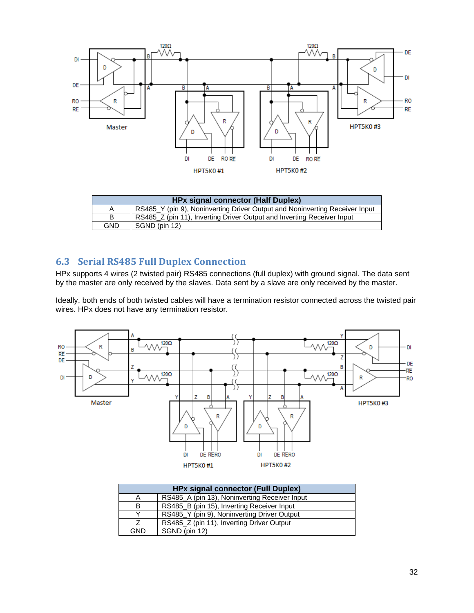

| <b>HPx signal connector (Half Duplex)</b> |                                                                             |  |  |  |
|-------------------------------------------|-----------------------------------------------------------------------------|--|--|--|
| Α                                         | RS485 Y (pin 9), Noninverting Driver Output and Noninverting Receiver Input |  |  |  |
| B                                         | RS485_Z (pin 11), Inverting Driver Output and Inverting Receiver Input      |  |  |  |
| GND                                       | SGND (pin 12)                                                               |  |  |  |

# <span id="page-31-0"></span>**6.3 Serial RS485 Full Duplex Connection**

HPx supports 4 wires (2 twisted pair) RS485 connections (full duplex) with ground signal. The data sent by the master are only received by the slaves. Data sent by a slave are only received by the master.

Ideally, both ends of both twisted cables will have a termination resistor connected across the twisted pair wires. HPx does not have any termination resistor.



|              | <b>HPx signal connector (Full Duplex)</b>     |  |  |  |
|--------------|-----------------------------------------------|--|--|--|
| А            | RS485_A (pin 13), Noninverting Receiver Input |  |  |  |
| В            | RS485_B (pin 15), Inverting Receiver Input    |  |  |  |
| $\checkmark$ | RS485_Y (pin 9), Noninverting Driver Output   |  |  |  |
|              | RS485_Z (pin 11), Inverting Driver Output     |  |  |  |
| GND          | SGND (pin 12)                                 |  |  |  |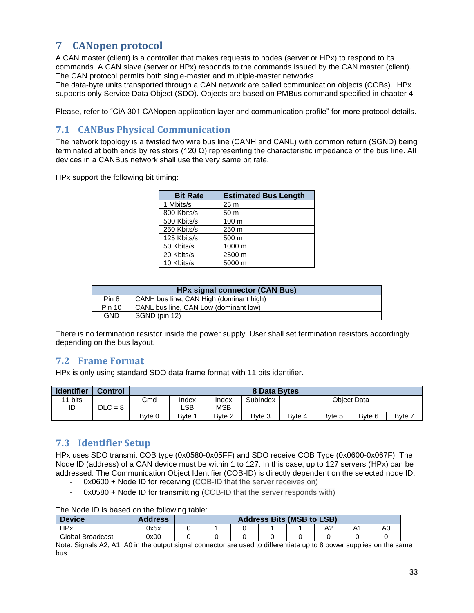# <span id="page-32-0"></span>**7 CANopen protocol**

A CAN master (client) is a controller that makes requests to nodes (server or HPx) to respond to its commands. A CAN slave (server or HPx) responds to the commands issued by the CAN master (client). The CAN protocol permits both single-master and multiple-master networks.

The data-byte units transported through a CAN network are called communication objects (COBs). HPx supports only Service Data Object (SDO). Objects are based on PMBus command specified in chapter 4.

<span id="page-32-1"></span>Please, refer to "CiA 301 CANopen application layer and communication profile" for more protocol details.

# **7.1 CANBus Physical Communication**

The network topology is a twisted two wire bus line (CANH and CANL) with common return (SGND) being terminated at both ends by resistors (120  $\Omega$ ) representing the characteristic impedance of the bus line. All devices in a CANBus network shall use the very same bit rate.

HPx support the following bit timing:

| <b>Bit Rate</b> | <b>Estimated Bus Length</b> |
|-----------------|-----------------------------|
| 1 Mbits/s       | 25 <sub>m</sub>             |
| 800 Kbits/s     | 50 m                        |
| 500 Kbits/s     | 100 <sub>m</sub>            |
| 250 Kbits/s     | 250 <sub>m</sub>            |
| 125 Kbits/s     | 500 m                       |
| 50 Kbits/s      | 1000 m                      |
| 20 Kbits/s      | 2500 m                      |
| 10 Kbits/s      | 5000 m                      |

| <b>HPx signal connector (CAN Bus)</b> |                                         |  |
|---------------------------------------|-----------------------------------------|--|
| Pin 8                                 | CANH bus line, CAN High (dominant high) |  |
| <b>Pin 10</b>                         | CANL bus line, CAN Low (dominant low)   |  |
| GND                                   | SGND (pin 12)                           |  |

There is no termination resistor inside the power supply. User shall set termination resistors accordingly depending on the bus layout.

# <span id="page-32-2"></span>**7.2 Frame Format**

HPx is only using standard SDO data frame format with 11 bits identifier.

| <b>Identifier</b> | <b>Control</b> |        | 8 Data Bytes |            |          |        |        |                    |       |
|-------------------|----------------|--------|--------------|------------|----------|--------|--------|--------------------|-------|
| bits              |                | Cmd    | Index        | Index      | SubIndex |        |        | <b>Obiect Data</b> |       |
| ID                | $DLC = 8$      |        | LSB          | <b>MSB</b> |          |        |        |                    |       |
|                   |                | Bvte 0 | Bvte 1       | Byte 2     | Byte 3   | Byte 4 | Byte 5 | Byte 6             | Byte: |

# <span id="page-32-3"></span>**7.3 Identifier Setup**

HPx uses SDO transmit COB type (0x0580-0x05FF) and SDO receive COB Type (0x0600-0x067F). The Node ID (address) of a CAN device must be within 1 to 127. In this case, up to 127 servers (HPx) can be addressed. The Communication Object Identifier (COB-ID) is directly dependent on the selected node ID.

- 0x0600 + Node ID for receiving (COB-ID that the server receives on)
- 0x0580 + Node ID for transmitting (COB-ID that the server responds with)

The Node ID is based on the following table:

| <b>Device</b>    | Address |  | <b>Address Bits (MSB to LSB)</b> |   |    |
|------------------|---------|--|----------------------------------|---|----|
| <b>HPx</b>       | 0x5x    |  |                                  | ∼ | A0 |
| Global Broadcast | 0x00    |  |                                  |   |    |

Note: Signals A2, A1, A0 in the output signal connector are used to differentiate up to 8 power supplies on the same bus.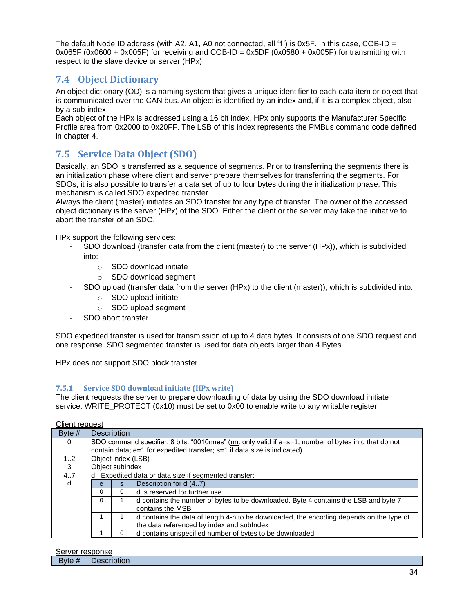The default Node ID address (with A2, A1, A0 not connected, all '1') is 0x5F. In this case, COB-ID =  $0x065F$  (0x0600 + 0x005F) for receiving and COB-ID = 0x5DF (0x0580 + 0x005F) for transmitting with respect to the slave device or server (HPx).

# <span id="page-33-0"></span>**7.4 Object Dictionary**

An object dictionary (OD) is a naming system that gives a unique identifier to each data item or object that is communicated over the CAN bus. An object is identified by an index and, if it is a complex object, also by a sub-index.

Each object of the HPx is addressed using a 16 bit index. HPx only supports the Manufacturer Specific Profile area from 0x2000 to 0x20FF. The LSB of this index represents the PMBus command code defined in chapter 4.

# <span id="page-33-1"></span>**7.5 Service Data Object (SDO)**

Basically, an SDO is transferred as a sequence of segments. Prior to transferring the segments there is an initialization phase where client and server prepare themselves for transferring the segments. For SDOs, it is also possible to transfer a data set of up to four bytes during the initialization phase. This mechanism is called SDO expedited transfer.

Always the client (master) initiates an SDO transfer for any type of transfer. The owner of the accessed object dictionary is the server (HPx) of the SDO. Either the client or the server may take the initiative to abort the transfer of an SDO.

HPx support the following services:

- SDO download (transfer data from the client (master) to the server (HPx)), which is subdivided into:
	- o SDO download initiate
	- o SDO download segment
- SDO upload (transfer data from the server (HPx) to the client (master)), which is subdivided into:
	- o SDO upload initiate
	- o SDO upload segment
- SDO abort transfer

SDO expedited transfer is used for transmission of up to 4 data bytes. It consists of one SDO request and one response. SDO segmented transfer is used for data objects larger than 4 Bytes.

HPx does not support SDO block transfer.

#### <span id="page-33-2"></span>**7.5.1 Service SDO download initiate (HPx write)**

The client requests the server to prepare downloading of data by using the SDO download initiate service. WRITE\_PROTECT (0x10) must be set to 0x00 to enable write to any writable register.

| Byte $#$ | <b>Description</b>                                                                                      |                                                                                                                                      |                                                                          |  |  |  |  |  |  |  |
|----------|---------------------------------------------------------------------------------------------------------|--------------------------------------------------------------------------------------------------------------------------------------|--------------------------------------------------------------------------|--|--|--|--|--|--|--|
| $\Omega$ | SDO command specifier. 8 bits: "0010nnes" (nn: only valid if $e=s=1$ , number of bytes in d that do not |                                                                                                                                      |                                                                          |  |  |  |  |  |  |  |
|          |                                                                                                         |                                                                                                                                      | contain data; e=1 for expedited transfer; s=1 if data size is indicated) |  |  |  |  |  |  |  |
| 12       | Object index (LSB)                                                                                      |                                                                                                                                      |                                                                          |  |  |  |  |  |  |  |
| 3        | Object subIndex                                                                                         |                                                                                                                                      |                                                                          |  |  |  |  |  |  |  |
| 4.7      |                                                                                                         |                                                                                                                                      | d: Expedited data or data size if segmented transfer:                    |  |  |  |  |  |  |  |
| d        | e                                                                                                       | S.                                                                                                                                   | Description for d (47)                                                   |  |  |  |  |  |  |  |
|          | 0                                                                                                       | 0                                                                                                                                    | d is reserved for further use.                                           |  |  |  |  |  |  |  |
|          | 0                                                                                                       | d contains the number of bytes to be downloaded. Byte 4 contains the LSB and byte 7<br>contains the MSB                              |                                                                          |  |  |  |  |  |  |  |
|          |                                                                                                         | d contains the data of length 4-n to be downloaded, the encoding depends on the type of<br>the data referenced by index and subIndex |                                                                          |  |  |  |  |  |  |  |
|          |                                                                                                         | 0                                                                                                                                    | d contains unspecified number of bytes to be downloaded                  |  |  |  |  |  |  |  |

Client request

Server response

| ____                  |                 |
|-----------------------|-----------------|
| $\mathsf{v}$ to $\pi$ | --------<br>uon |
|                       |                 |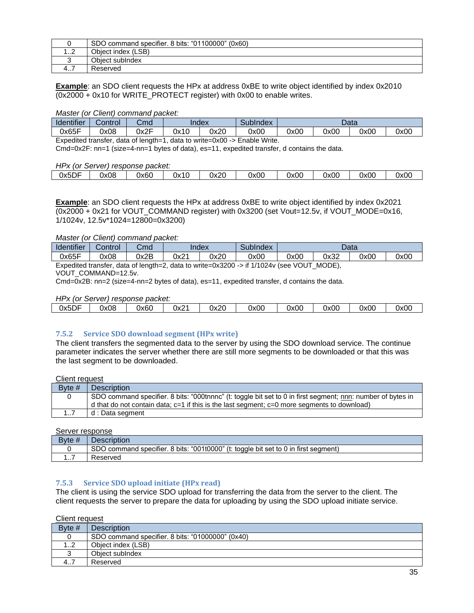|        | SDO command specifier. 8 bits: "01100000" (0x60) |
|--------|--------------------------------------------------|
| ີ<br>ے | Obiect index (LSB)                               |
|        | Obiect subIndex                                  |
| 4      | Reserved                                         |

**Example**: an SDO client requests the HPx at address 0xBE to write object identified by index 0x2010  $(0x2000 + 0x10$  for WRITE\_PROTECT register) with 0x00 to enable writes.

#### *Master (or Client) command packet:*

| <b>Identifier</b> | Control | Cmd  | SubIndex<br>Index |      |      | Data |      |      |      |
|-------------------|---------|------|-------------------|------|------|------|------|------|------|
| 0x65F             | 0x08    | 0x2F | 0x10              | 0x20 | 0x00 | 0x00 | 0x00 | 0x00 | 0x00 |
| $-$               |         | .    |                   |      |      |      |      |      |      |

Expedited transfer, data of length=1, data to write=0x00 -> Enable Write.

Cmd=0x2F: nn=1 (size=4-nn=1 bytes of data), es=11, expedited transfer, d contains the data.

#### *HPx (or Server) response packet:*

| .             |      |      |      |      |      |      |      |      |      |
|---------------|------|------|------|------|------|------|------|------|------|
| $ -$<br>0x5DF | 0x08 | 0x60 | 0x10 | 0x20 | 0x00 | 0x00 | 0x00 | 0x00 | 0x00 |
|               |      |      |      |      |      |      |      |      |      |

**Example**: an SDO client requests the HPx at address 0xBE to write object identified by index 0x2021 (0x2000 + 0x21 for VOUT\_COMMAND register) with 0x3200 (set Vout=12.5v, if VOUT\_MODE=0x16, 1/1024v, 12.5v\*1024=12800=0x3200)

*Master (or Client) command packet:*

| <b>Identifier</b> | Control | Cmd  | Index |      | SubIndex                                                                                  |      |      | Data |      |
|-------------------|---------|------|-------|------|-------------------------------------------------------------------------------------------|------|------|------|------|
| 0x65F             | 0x08    | 0x2B | 0x21  | 0x20 | 0x00                                                                                      | 0x00 | 0x32 | 0x00 | 0x00 |
|                   |         |      |       |      | Expedited transfer, data of length=2, data to write=0x3200 -> if 1/1024v (see VOUT_MODE), |      |      |      |      |

VOUT\_COMMAND=12.5v.

Cmd=0x2B: nn=2 (size=4-nn=2 bytes of data), es=11, expedited transfer, d contains the data.

#### *HPx (or Server) response packet:*

| 0x5DF | 0x08 | 0x60 | 0x2 | 0x20 | 0x00 | 0x00 | 0x00 | 0x00 | 0x00 |  |
|-------|------|------|-----|------|------|------|------|------|------|--|
|       |      |      |     |      |      |      |      |      |      |  |

#### <span id="page-34-0"></span>**7.5.2 Service SDO download segment (HPx write)**

The client transfers the segmented data to the server by using the SDO download service. The continue parameter indicates the server whether there are still more segments to be downloaded or that this was the last segment to be downloaded.

Client request

| Byte # | <b>Description</b>                                                                                          |
|--------|-------------------------------------------------------------------------------------------------------------|
|        | SDO command specifier. 8 bits: "000tnnnc" (t: toggle bit set to 0 in first segment; nnn: number of bytes in |
|        | d that do not contain data; $c=1$ if this is the last segment; $c=0$ more segments to download)             |
| 17     | d : Data segment                                                                                            |

Server response

| Byte $#$ | Description                                                                                     |
|----------|-------------------------------------------------------------------------------------------------|
|          | J command specifier. 8 bits: "001t0000" (t: toggle bit set to 0 in first segment)<br><b>SDO</b> |
| .        | Reserved                                                                                        |

#### <span id="page-34-1"></span>**7.5.3 Service SDO upload initiate (HPx read)**

The client is using the service SDO upload for transferring the data from the server to the client. The client requests the server to prepare the data for uploading by using the SDO upload initiate service.

#### Client request

| Byte # | <b>Description</b>                               |
|--------|--------------------------------------------------|
|        | SDO command specifier, 8 bits: "01000000" (0x40) |
| ے      | Object index (LSB)                               |
|        | Object sublndex                                  |
| 4      | Reserved                                         |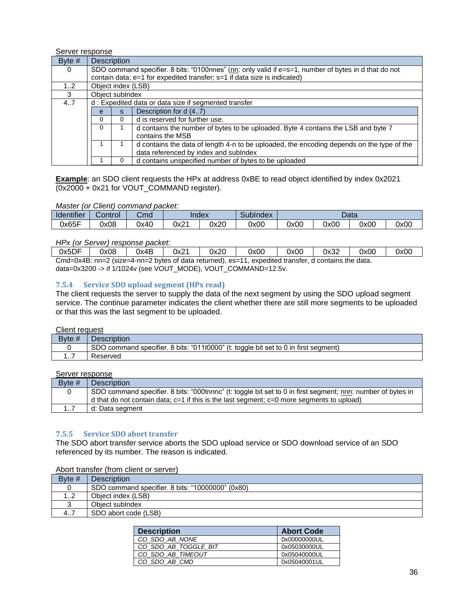Server response

| Byte $#$ | <b>Description</b> |                                                                                                       |                                                                                           |  |  |  |
|----------|--------------------|-------------------------------------------------------------------------------------------------------|-------------------------------------------------------------------------------------------|--|--|--|
| $\Omega$ |                    | SDO command specifier. 8 bits: "0100nnes" (nn: only valid if e=s=1, number of bytes in d that do not  |                                                                                           |  |  |  |
|          |                    |                                                                                                       | contain data; e=1 for expedited transfer; s=1 if data size is indicated)                  |  |  |  |
| 12       | Object index (LSB) |                                                                                                       |                                                                                           |  |  |  |
| 3        | Object sublndex    |                                                                                                       |                                                                                           |  |  |  |
| 47       |                    |                                                                                                       | d: Expedited data or data size if segmented transfer                                      |  |  |  |
|          | e                  | Description for d (47)<br>s.                                                                          |                                                                                           |  |  |  |
|          | $\Omega$           | 0                                                                                                     | d is reserved for further use.                                                            |  |  |  |
|          | $\Omega$           | d contains the number of bytes to be uploaded. Byte 4 contains the LSB and byte 7<br>contains the MSB |                                                                                           |  |  |  |
|          |                    |                                                                                                       | d contains the data of length 4-n to be uploaded, the encoding depends on the type of the |  |  |  |
|          |                    |                                                                                                       | data referenced by index and sublndex                                                     |  |  |  |
|          |                    | 0                                                                                                     | d contains unspecified number of bytes to be uploaded                                     |  |  |  |

**Example**: an SDO client requests the HPx at address 0xBE to read object identified by index 0x2021 (0x2000 + 0x21 for VOUT\_COMMAND register).

#### *Master (or Client) command packet:*

| Identifier | Control | Cmd  | Index |      | SubIndex | Data |      |      |      |
|------------|---------|------|-------|------|----------|------|------|------|------|
| 0x65F      | 0x08    | 0x40 | 0x21  | 0x20 | 0x00     | 0x00 | 0x00 | 0x00 | 0x00 |

#### *HPx (or Server) response packet:*

| 0x5DF                                                                                                | 0x08 | 0x4B | 0x21 | 0x20 | 0x00 | 0x00 | 0x32 | 0x00 | 0x00 |
|------------------------------------------------------------------------------------------------------|------|------|------|------|------|------|------|------|------|
| Cmd=0x4B: nn=2 (size=4-nn=2 bytes of data returned), es=11, expedited transfer, d contains the data. |      |      |      |      |      |      |      |      |      |

data=0x3200 -> if 1/1024v (see VOUT\_MODE), VOUT\_COMMAND=12.5v.

#### <span id="page-35-0"></span>**7.5.4 Service SDO upload segment (HPx read)**

The client requests the server to supply the data of the next segment by using the SDO upload segment service. The continue parameter indicates the client whether there are still more segments to be uploaded or that this was the last segment to be uploaded.

#### Client request

| Byte $#$ | Description                                                                         |
|----------|-------------------------------------------------------------------------------------|
|          | SDO command specifier. 8 bits: "011t0000" (t: toggle bit set to 0 in first segment) |
| .        | Reserved                                                                            |

#### Server response

| Byte $#$ | <b>Description</b>                                                                                          |
|----------|-------------------------------------------------------------------------------------------------------------|
|          | SDO command specifier. 8 bits: "000tnnnc" (t: toggle bit set to 0 in first segment; nnn: number of bytes in |
|          | d that do not contain data; $c=1$ if this is the last segment; $c=0$ more segments to upload)               |
| 1        | d: Data segment                                                                                             |

#### <span id="page-35-1"></span>**7.5.5 Service SDO abort transfer**

The SDO abort transfer service aborts the SDO upload service or SDO download service of an SDO referenced by its number. The reason is indicated.

#### Abort transfer (from client or server)

| Byte $#$ | <b>Description</b>                               |
|----------|--------------------------------------------------|
|          | SDO command specifier. 8 bits: "10000000" (0x80) |
| 12       | Object index (LSB)                               |
|          | Object sublndex                                  |
| 47       | SDO abort code (LSB)                             |

| <b>Description</b>   | <b>Abort Code</b> |
|----------------------|-------------------|
| CO SDO AB NONE       | 0x00000000UL      |
| CO SDO AB TOGGLE BIT | 0x05030000UL      |
| CO SDO AB TIMEOUT    | 0x05040000UL      |
| CO SDO AB CMD        | 0x05040001UL      |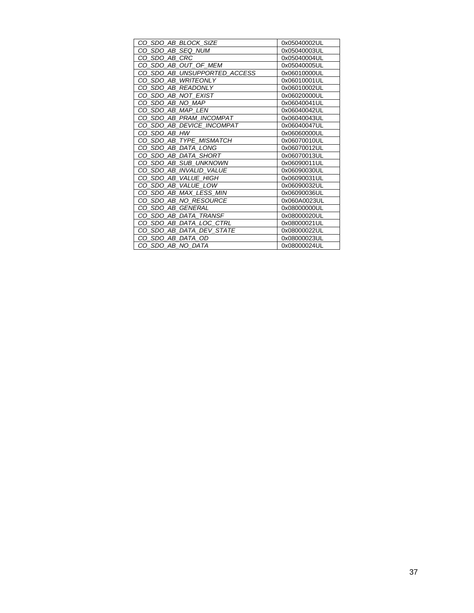| CO_SDO_AB_BLOCK_SIZE         | 0x05040002UL |
|------------------------------|--------------|
| CO SDO AB SEQ NUM            | 0x05040003UL |
| CO SDO AB CRC                | 0x05040004UL |
| CO_SDO_AB_OUT_OF_MEM         | 0x05040005UL |
| CO SDO AB UNSUPPORTED ACCESS | 0x06010000UL |
| CO SDO AB WRITEONLY          | 0x06010001UL |
| CO_SDO_AB_READONLY           | 0x06010002UL |
| CO_SDO_AB_NOT_EXIST          | 0x06020000UL |
| CO SDO AB NO MAP             | 0x06040041UL |
| CO SDO AB MAP LEN            | 0x06040042UL |
| CO_SDO_AB_PRAM_INCOMPAT      | 0x06040043UL |
| CO SDO AB DEVICE INCOMPAT    | 0x06040047UL |
| CO_SDO_AB_HW                 | 0x06060000UL |
| CO SDO AB TYPE MISMATCH      | 0x06070010UL |
| CO_SDO_AB_DATA_LONG          | 0x06070012UL |
| CO SDO AB DATA SHORT         | 0x06070013UL |
| CO SDO AB SUB UNKNOWN        | 0x06090011UL |
| CO SDO AB INVALID VALUE      | 0x06090030UL |
| CO_SDO_AB_VALUE_HIGH         | 0x06090031UL |
| CO SDO AB VALUE LOW          | 0x06090032UL |
| CO SDO AB MAX LESS MIN       | 0x06090036UL |
| CO SDO AB NO RESOURCE        | 0x060A0023UL |
| CO SDO AB GENERAL            | 0x08000000UL |
| CO SDO AB DATA TRANSF        | 0x08000020UL |
| CO SDO AB DATA LOC CTRL      | 0x08000021UL |
| CO_SDO_AB_DATA_DEV_STATE     | 0x08000022UL |
| CO SDO AB DATA OD            | 0x08000023UL |
| CO SDO AB NO DATA            | 0x08000024UL |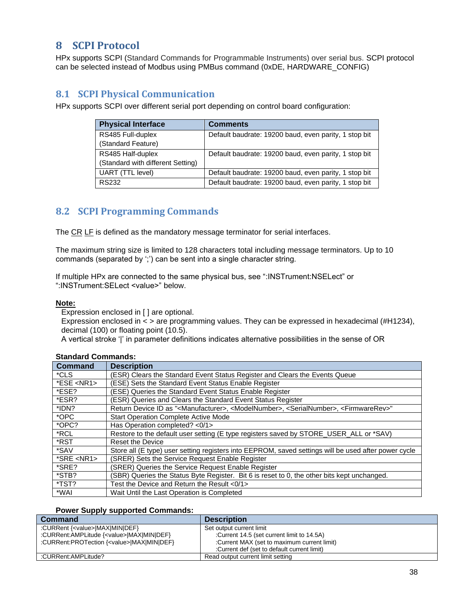# <span id="page-37-0"></span>**8 SCPI Protocol**

HPx supports SCPI (Standard Commands for Programmable Instruments) over serial bus. SCPI protocol can be selected instead of Modbus using PMBus command (0xDE, HARDWARE\_CONFIG)

# <span id="page-37-1"></span>**8.1 SCPI Physical Communication**

HPx supports SCPI over different serial port depending on control board configuration:

| <b>Physical Interface</b>         | <b>Comments</b>                                       |  |
|-----------------------------------|-------------------------------------------------------|--|
| RS485 Full-duplex                 | Default baudrate: 19200 baud, even parity, 1 stop bit |  |
| (Standard Feature)                |                                                       |  |
| RS485 Half-duplex                 | Default baudrate: 19200 baud, even parity, 1 stop bit |  |
| (Standard with different Setting) |                                                       |  |
| UART (TTL level)                  | Default baudrate: 19200 baud, even parity, 1 stop bit |  |
| RS232                             | Default baudrate: 19200 baud, even parity, 1 stop bit |  |

# <span id="page-37-2"></span>**8.2 SCPI Programming Commands**

The CR LF is defined as the mandatory message terminator for serial interfaces.

The maximum string size is limited to 128 characters total including message terminators. Up to 10 commands (separated by ';') can be sent into a single character string.

If multiple HPx are connected to the same physical bus, see ":INSTrument:NSELect" or ":INSTrument:SELect <value>" below.

#### **Note:**

Expression enclosed in [ ] are optional.

Expression enclosed in < > are programming values. They can be expressed in hexadecimal (#H1234), decimal (100) or floating point (10.5).

A vertical stroke '|' in parameter definitions indicates alternative possibilities in the sense of OR

| <b>Command</b> | <b>Description</b>                                                                                                                            |
|----------------|-----------------------------------------------------------------------------------------------------------------------------------------------|
| *CLS           | (ESR) Clears the Standard Event Status Register and Clears the Events Queue                                                                   |
| $*ESE < NR1$   | (ESE) Sets the Standard Event Status Enable Register                                                                                          |
| *ESE?          | (ESE) Queries the Standard Event Status Enable Register                                                                                       |
| *ESR?          | (ESR) Queries and Clears the Standard Event Status Register                                                                                   |
| *IDN?          | Return Device ID as " <manufacturer>, <modelnumber>, <serialnumber>, <firmwarerev>"</firmwarerev></serialnumber></modelnumber></manufacturer> |
| *OPC           | <b>Start Operation Complete Active Mode</b>                                                                                                   |
| *OPC?          | Has Operation completed? <0/1>                                                                                                                |
| *RCL           | Restore to the default user setting (E type registers saved by STORE_USER_ALL or *SAV)                                                        |
| *RST           | Reset the Device                                                                                                                              |
| *SAV           | Store all (E type) user setting registers into EEPROM, saved settings will be used after power cycle                                          |
| $*SRE < NR1$   | (SRER) Sets the Service Request Enable Register                                                                                               |
| *SRE?          | (SRER) Queries the Service Request Enable Register                                                                                            |
| *STB?          | (SBR) Queries the Status Byte Register. Bit 6 is reset to 0, the other bits kept unchanged.                                                   |
| *TST?          | Test the Device and Return the Result <0/1>                                                                                                   |
| *WAI           | Wait Until the Last Operation is Completed                                                                                                    |

#### **Standard Commands:**

#### **Power Supply supported Commands:**

| <b>Command</b>                                     | <b>Description</b>                           |
|----------------------------------------------------|----------------------------------------------|
| :CURRent { <value>IMAXIMINIDEF}</value>            | Set output current limit                     |
| :CURRent:AMPLitude { <value> MAX MIN DEF}</value>  | :Current 14.5 (set current limit to 14.5A)   |
| :CURRent:PROTection { <value> MAX MIN DEF}</value> | :Current MAX (set to maximum current limit)  |
|                                                    | :Current def (set to default current limit): |
| :CURRent:AMPLitude?                                | Read output current limit setting            |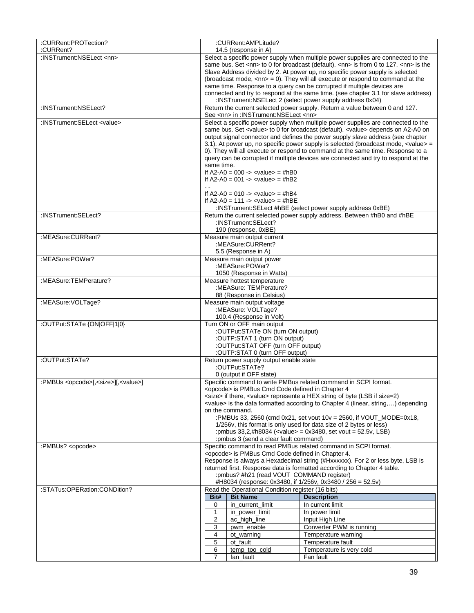| :CURRent:PROTection?                                       |                                                                                  | :CURRent:AMPLitude?                                                                                                                            |                                                                                                                                                                               |  |  |  |  |
|------------------------------------------------------------|----------------------------------------------------------------------------------|------------------------------------------------------------------------------------------------------------------------------------------------|-------------------------------------------------------------------------------------------------------------------------------------------------------------------------------|--|--|--|--|
| :CURRent?                                                  | 14.5 (response in A)                                                             |                                                                                                                                                |                                                                                                                                                                               |  |  |  |  |
| :INSTrument:NSELect <nn></nn>                              | Select a specific power supply when multiple power supplies are connected to the |                                                                                                                                                |                                                                                                                                                                               |  |  |  |  |
|                                                            |                                                                                  | same bus. Set <nn> to 0 for broadcast (default). <nn> is from 0 to 127. <nn> is the</nn></nn></nn>                                             |                                                                                                                                                                               |  |  |  |  |
|                                                            |                                                                                  | Slave Address divided by 2. At power up, no specific power supply is selected                                                                  |                                                                                                                                                                               |  |  |  |  |
|                                                            |                                                                                  | (broadcast mode, $\langle$ nn> = 0). They will all execute or respond to command at the                                                        |                                                                                                                                                                               |  |  |  |  |
|                                                            |                                                                                  | same time. Response to a query can be corrupted if multiple devices are                                                                        |                                                                                                                                                                               |  |  |  |  |
|                                                            |                                                                                  | connected and try to respond at the same time. (see chapter 3.1 for slave address)<br>:INSTrument:NSELect 2 (select power supply address 0x04) |                                                                                                                                                                               |  |  |  |  |
| :INSTrument:NSELect?                                       |                                                                                  | See <nn> in :INSTrument:NSELect <nn></nn></nn>                                                                                                 | Return the current selected power supply. Return a value between 0 and 127.                                                                                                   |  |  |  |  |
| :INSTrument:SELect <value></value>                         |                                                                                  |                                                                                                                                                | Select a specific power supply when multiple power supplies are connected to the                                                                                              |  |  |  |  |
|                                                            |                                                                                  |                                                                                                                                                | same bus. Set <value> to 0 for broadcast (default). <value> depends on A2-A0 on</value></value>                                                                               |  |  |  |  |
|                                                            |                                                                                  |                                                                                                                                                | output signal connector and defines the power supply slave address (see chapter<br>3.1). At power up, no specific power supply is selected (broadcast mode, <value> =</value> |  |  |  |  |
|                                                            |                                                                                  |                                                                                                                                                | 0). They will all execute or respond to command at the same time. Response to a                                                                                               |  |  |  |  |
|                                                            |                                                                                  |                                                                                                                                                | query can be corrupted if multiple devices are connected and try to respond at the                                                                                            |  |  |  |  |
|                                                            | same time.                                                                       |                                                                                                                                                |                                                                                                                                                                               |  |  |  |  |
|                                                            |                                                                                  | If A2-A0 = $000 \rightarrow \text{value} = #hB0$                                                                                               |                                                                                                                                                                               |  |  |  |  |
|                                                            | $\sim$ $\sim$                                                                    | If A2-A0 = 001 -> <value> = #hB2</value>                                                                                                       |                                                                                                                                                                               |  |  |  |  |
|                                                            |                                                                                  | If A2-A0 = 010 -> <value> = #hB4</value>                                                                                                       |                                                                                                                                                                               |  |  |  |  |
|                                                            |                                                                                  | If A2-A0 = 111 -> <value> = #hBE</value>                                                                                                       |                                                                                                                                                                               |  |  |  |  |
|                                                            |                                                                                  |                                                                                                                                                | :INSTrument:SELect #hBE (select power supply address 0xBE)                                                                                                                    |  |  |  |  |
| :INSTrument:SELect?                                        |                                                                                  |                                                                                                                                                | Return the current selected power supply address. Between #hB0 and #hBE                                                                                                       |  |  |  |  |
|                                                            |                                                                                  | :INSTrument:SELect?                                                                                                                            |                                                                                                                                                                               |  |  |  |  |
| :MEASure:CURRent?                                          |                                                                                  | 190 (response, 0xBE)<br>Measure main output current                                                                                            |                                                                                                                                                                               |  |  |  |  |
|                                                            |                                                                                  | :MEASure:CURRent?                                                                                                                              |                                                                                                                                                                               |  |  |  |  |
|                                                            |                                                                                  | 5.5 (Response in A)                                                                                                                            |                                                                                                                                                                               |  |  |  |  |
| :MEASure:POWer?                                            |                                                                                  | Measure main output power                                                                                                                      |                                                                                                                                                                               |  |  |  |  |
|                                                            |                                                                                  | :MEASure:POWer?                                                                                                                                |                                                                                                                                                                               |  |  |  |  |
|                                                            |                                                                                  | 1050 (Response in Watts)                                                                                                                       |                                                                                                                                                                               |  |  |  |  |
| :MEASure:TEMPerature?                                      |                                                                                  | Measure hottest temperature                                                                                                                    |                                                                                                                                                                               |  |  |  |  |
|                                                            |                                                                                  | :MEASure: TEMPerature?<br>88 (Response in Celsius)                                                                                             |                                                                                                                                                                               |  |  |  |  |
| :MEASure:VOLTage?                                          |                                                                                  | Measure main output voltage                                                                                                                    |                                                                                                                                                                               |  |  |  |  |
|                                                            | :MEASure: VOLTage?                                                               |                                                                                                                                                |                                                                                                                                                                               |  |  |  |  |
|                                                            | 100.4 (Response in Volt)                                                         |                                                                                                                                                |                                                                                                                                                                               |  |  |  |  |
| :OUTPut:STATe {ON OFF 1 0}                                 | Turn ON or OFF main output                                                       |                                                                                                                                                |                                                                                                                                                                               |  |  |  |  |
|                                                            | :OUTPut:STATe ON (turn ON output)<br>:OUTP:STAT 1 (turn ON output)               |                                                                                                                                                |                                                                                                                                                                               |  |  |  |  |
|                                                            | :OUTPut:STAT OFF (turn OFF output)                                               |                                                                                                                                                |                                                                                                                                                                               |  |  |  |  |
|                                                            |                                                                                  | :OUTP:STAT 0 (turn OFF output)                                                                                                                 |                                                                                                                                                                               |  |  |  |  |
| :OUTPut:STATe?                                             |                                                                                  | Return power supply output enable state                                                                                                        |                                                                                                                                                                               |  |  |  |  |
|                                                            |                                                                                  | :OUTPut:STATe?                                                                                                                                 |                                                                                                                                                                               |  |  |  |  |
|                                                            |                                                                                  | 0 (output if OFF state)                                                                                                                        |                                                                                                                                                                               |  |  |  |  |
| :PMBUs <opcode>[,<size>][,<value>]</value></size></opcode> |                                                                                  |                                                                                                                                                | Specific command to write PMBus related command in SCPI format.                                                                                                               |  |  |  |  |
|                                                            |                                                                                  | <opcode> is PMBus Cmd Code defined in Chapter 4</opcode>                                                                                       | <size> if there, <value> represente a HEX string of byte (LSB if size=2)</value></size>                                                                                       |  |  |  |  |
|                                                            |                                                                                  |                                                                                                                                                | <value> is the data formatted according to Chapter 4 (linear, string,) depending</value>                                                                                      |  |  |  |  |
|                                                            |                                                                                  | on the command.                                                                                                                                |                                                                                                                                                                               |  |  |  |  |
|                                                            | :PMBUs 33, 2560 (cmd 0x21, set vout 10v = 2560, if VOUT MODE=0x18,               |                                                                                                                                                |                                                                                                                                                                               |  |  |  |  |
|                                                            |                                                                                  |                                                                                                                                                | 1/256v, this format is only used for data size of 2 bytes or less)                                                                                                            |  |  |  |  |
|                                                            | :pmbus 33,2,#h8034 ( <value> = 0x3480, set vout = 52.5v, LSB)</value>            |                                                                                                                                                |                                                                                                                                                                               |  |  |  |  |
| :PMBUs? <opcode></opcode>                                  |                                                                                  | : pmbus 3 (send a clear fault command)                                                                                                         | Specific command to read PMBus related command in SCPI format.                                                                                                                |  |  |  |  |
|                                                            |                                                                                  | <opcode> is PMBus Cmd Code defined in Chapter 4.</opcode>                                                                                      |                                                                                                                                                                               |  |  |  |  |
|                                                            |                                                                                  |                                                                                                                                                | Response is always a Hexadecimal string (#Hxxxxxx). For 2 or less byte, LSB is                                                                                                |  |  |  |  |
|                                                            |                                                                                  |                                                                                                                                                | returned first. Response data is formatted according to Chapter 4 table.                                                                                                      |  |  |  |  |
|                                                            | :pmbus? #h21 (read VOUT_COMMAND register)                                        |                                                                                                                                                |                                                                                                                                                                               |  |  |  |  |
|                                                            |                                                                                  |                                                                                                                                                | #H8034 (response: 0x3480, if 1/256v, 0x3480 / 256 = 52.5v)                                                                                                                    |  |  |  |  |
| :STATus:OPERation:CONDition?                               |                                                                                  | Read the Operational Condition register (16 bits)<br><b>Bit Name</b>                                                                           |                                                                                                                                                                               |  |  |  |  |
|                                                            | Bit#<br>0                                                                        | in_current_limit                                                                                                                               | <b>Description</b><br>In current limit                                                                                                                                        |  |  |  |  |
|                                                            | 1                                                                                | in_power_limit                                                                                                                                 | In power limit                                                                                                                                                                |  |  |  |  |
|                                                            | 2                                                                                | ac_high_line                                                                                                                                   | Input High Line                                                                                                                                                               |  |  |  |  |
|                                                            | 3                                                                                | pwm_enable                                                                                                                                     | Converter PWM is running                                                                                                                                                      |  |  |  |  |
|                                                            | 4                                                                                | ot_warning                                                                                                                                     | Temperature warning                                                                                                                                                           |  |  |  |  |
|                                                            | 5                                                                                | ot_fault                                                                                                                                       | Temperature fault                                                                                                                                                             |  |  |  |  |
|                                                            | 6                                                                                | temp_too_cold                                                                                                                                  | Temperature is very cold                                                                                                                                                      |  |  |  |  |
|                                                            | $\overline{7}$                                                                   | fan_fault                                                                                                                                      | Fan fault                                                                                                                                                                     |  |  |  |  |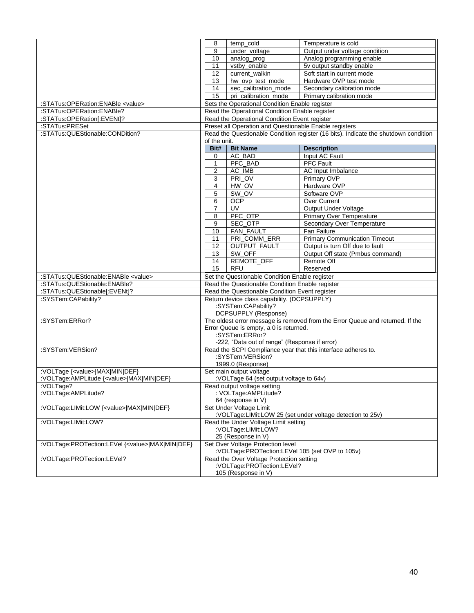|                                                          | 8                                                                                   | temp cold            | Temperature is cold                  |  |  |  |  |  |
|----------------------------------------------------------|-------------------------------------------------------------------------------------|----------------------|--------------------------------------|--|--|--|--|--|
|                                                          | 9                                                                                   |                      |                                      |  |  |  |  |  |
|                                                          |                                                                                     | under_voltage        | Output under voltage condition       |  |  |  |  |  |
|                                                          | 10                                                                                  | analog_prog          | Analog programming enable            |  |  |  |  |  |
|                                                          | 11                                                                                  | vstbv enable         | 5v output standby enable             |  |  |  |  |  |
|                                                          | 12                                                                                  | current walkin       | Soft start in current mode           |  |  |  |  |  |
|                                                          | 13                                                                                  | hw_ovp_test_mode     | Hardware OVP test mode               |  |  |  |  |  |
|                                                          | 14                                                                                  | sec_calibration_mode | Secondary calibration mode           |  |  |  |  |  |
|                                                          | 15                                                                                  | pri calibration mode | Primary calibration mode             |  |  |  |  |  |
| :STATus:OPERation:ENABle <value></value>                 | Sets the Operational Condition Enable register                                      |                      |                                      |  |  |  |  |  |
| :STATus:OPERation:ENABle?                                | Read the Operational Condition Enable register                                      |                      |                                      |  |  |  |  |  |
| :STATus:OPERation[:EVENt]?                               | Read the Operational Condition Event register                                       |                      |                                      |  |  |  |  |  |
| :STATus:PRESet                                           | Preset all Operation and Questionable Enable registers                              |                      |                                      |  |  |  |  |  |
| :STATus:QUEStionable:CONDition?                          | Read the Questionable Condition register (16 bits). Indicate the shutdown condition |                      |                                      |  |  |  |  |  |
|                                                          | of the unit.                                                                        |                      |                                      |  |  |  |  |  |
|                                                          | Bit#<br><b>Bit Name</b><br><b>Description</b>                                       |                      |                                      |  |  |  |  |  |
|                                                          | 0                                                                                   | AC_BAD               | Input AC Fault                       |  |  |  |  |  |
|                                                          | $\mathbf{1}$                                                                        | PFC_BAD              | PFC Fault                            |  |  |  |  |  |
|                                                          | $\overline{2}$                                                                      | AC IMB               | <b>AC</b> Input Imbalance            |  |  |  |  |  |
|                                                          | 3                                                                                   | PRI OV               | Primary OVP                          |  |  |  |  |  |
|                                                          | 4                                                                                   | HW_OV                | Hardware OVP                         |  |  |  |  |  |
|                                                          | 5                                                                                   | SW_OV                | Software OVP                         |  |  |  |  |  |
|                                                          |                                                                                     |                      |                                      |  |  |  |  |  |
|                                                          | 6                                                                                   | <b>OCP</b>           | Over Current                         |  |  |  |  |  |
|                                                          | 7                                                                                   | UV                   | Output Under Voltage                 |  |  |  |  |  |
|                                                          | 8                                                                                   | PFC_OTP              | Primary Over Temperature             |  |  |  |  |  |
|                                                          | 9                                                                                   | SEC_OTP              | Secondary Over Temperature           |  |  |  |  |  |
|                                                          | 10                                                                                  | <b>FAN FAULT</b>     | Fan Failure                          |  |  |  |  |  |
|                                                          | 11                                                                                  | PRI_COMM_ERR         | <b>Primary Communication Timeout</b> |  |  |  |  |  |
|                                                          | 12                                                                                  | OUTPUT_FAULT         | Output is turn Off due to fault      |  |  |  |  |  |
|                                                          | 13                                                                                  | SW_OFF               | Output Off state (Pmbus command)     |  |  |  |  |  |
|                                                          | 14                                                                                  | REMOTE_OFF           | Remote Off                           |  |  |  |  |  |
|                                                          | 15                                                                                  | <b>RFU</b>           | Reserved                             |  |  |  |  |  |
| :STATus:QUEStionable:ENABle <value></value>              | Set the Questionable Condition Enable register                                      |                      |                                      |  |  |  |  |  |
| :STATus:QUEStionable:ENABle?                             | Read the Questionable Condition Enable register                                     |                      |                                      |  |  |  |  |  |
| :STATus:QUEStionable[:EVENt]?                            | Read the Questionable Condition Event register                                      |                      |                                      |  |  |  |  |  |
| :SYSTem:CAPability?                                      | Return device class capability. (DCPSUPPLY)                                         |                      |                                      |  |  |  |  |  |
|                                                          | :SYSTem:CAPability?                                                                 |                      |                                      |  |  |  |  |  |
|                                                          | DCPSUPPLY (Response)                                                                |                      |                                      |  |  |  |  |  |
| :SYSTem:ERRor?                                           | The oldest error message is removed from the Error Queue and returned. If the       |                      |                                      |  |  |  |  |  |
|                                                          | Error Queue is empty, a 0 is returned.                                              |                      |                                      |  |  |  |  |  |
|                                                          | :SYSTem:ERRor?                                                                      |                      |                                      |  |  |  |  |  |
|                                                          | -222, "Data out of range" (Response if error)                                       |                      |                                      |  |  |  |  |  |
| :SYSTem:VERSion?                                         | Read the SCPI Compliance year that this interface adheres to.                       |                      |                                      |  |  |  |  |  |
|                                                          | :SYSTem:VERSion?                                                                    |                      |                                      |  |  |  |  |  |
|                                                          | 1999.0 (Response)                                                                   |                      |                                      |  |  |  |  |  |
| :VOLTage { <value> MAX MIN DEF}</value>                  | Set main output voltage                                                             |                      |                                      |  |  |  |  |  |
| :VOLTage:AMPLitude { <value> MAX MIN DEF}</value>        | :VOLTage 64 (set output voltage to 64v)                                             |                      |                                      |  |  |  |  |  |
| :VOLTage?                                                | Read output voltage setting                                                         |                      |                                      |  |  |  |  |  |
| :VOLTage:AMPLitude?                                      | : VOLTage:AMPLitude?                                                                |                      |                                      |  |  |  |  |  |
|                                                          | 64 (response in V)                                                                  |                      |                                      |  |  |  |  |  |
| :VOLTage:LIMit:LOW { <value> MAX MIN DEF}</value>        | Set Under Voltage Limit                                                             |                      |                                      |  |  |  |  |  |
|                                                          | :VOLTage:LIMit:LOW 25 (set under voltage detection to 25v)                          |                      |                                      |  |  |  |  |  |
| :VOLTage:LIMit:LOW?                                      | Read the Under Voltage Limit setting                                                |                      |                                      |  |  |  |  |  |
|                                                          | :VOLTage:LIMit:LOW?                                                                 |                      |                                      |  |  |  |  |  |
|                                                          |                                                                                     | 25 (Response in V)   |                                      |  |  |  |  |  |
| :VOLTage:PROTection:LEVel { <value> MAX MIN DEF}</value> | Set Over Voltage Protection level                                                   |                      |                                      |  |  |  |  |  |
|                                                          | :VOLTage:PROTection:LEVel 105 (set OVP to 105v)                                     |                      |                                      |  |  |  |  |  |
|                                                          | :VOLTage:PROTection:LEVel?<br>Read the Over Voltage Protection setting              |                      |                                      |  |  |  |  |  |
|                                                          | :VOLTage:PROTection:LEVel?                                                          |                      |                                      |  |  |  |  |  |
|                                                          |                                                                                     | 105 (Response in V)  |                                      |  |  |  |  |  |
|                                                          |                                                                                     |                      |                                      |  |  |  |  |  |